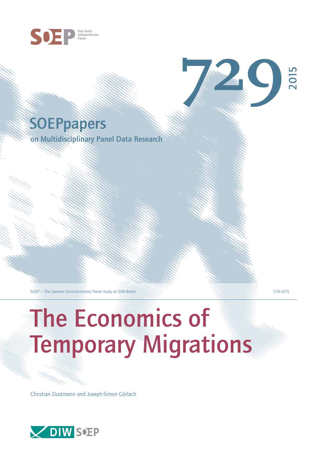

# **SOEPpapers**

on Multidisciplinary Panel Data Research

SOEP — The German Socio-Economic Panel study at DIW Berlin 729-2015

**729**

2015

# The Economics of Temporary Migrations

Christian Dustmann and Joseph-Simon Görlach

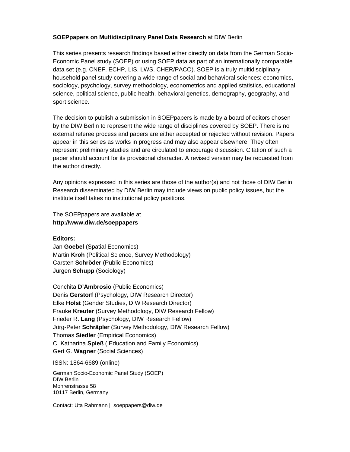#### **SOEPpapers on Multidisciplinary Panel Data Research** at DIW Berlin

This series presents research findings based either directly on data from the German Socio-Economic Panel study (SOEP) or using SOEP data as part of an internationally comparable data set (e.g. CNEF, ECHP, LIS, LWS, CHER/PACO). SOEP is a truly multidisciplinary household panel study covering a wide range of social and behavioral sciences: economics, sociology, psychology, survey methodology, econometrics and applied statistics, educational science, political science, public health, behavioral genetics, demography, geography, and sport science.

The decision to publish a submission in SOEPpapers is made by a board of editors chosen by the DIW Berlin to represent the wide range of disciplines covered by SOEP. There is no external referee process and papers are either accepted or rejected without revision. Papers appear in this series as works in progress and may also appear elsewhere. They often represent preliminary studies and are circulated to encourage discussion. Citation of such a paper should account for its provisional character. A revised version may be requested from the author directly.

Any opinions expressed in this series are those of the author(s) and not those of DIW Berlin. Research disseminated by DIW Berlin may include views on public policy issues, but the institute itself takes no institutional policy positions.

The SOEPpapers are available at **http://www.diw.de/soeppapers** 

**Editors:** 

Jan **Goebel** (Spatial Economics) Martin **Kroh** (Political Science, Survey Methodology) Carsten **Schröder** (Public Economics) Jürgen **Schupp** (Sociology)

Conchita **D'Ambrosio** (Public Economics) Denis **Gerstorf** (Psychology, DIW Research Director) Elke **Holst** (Gender Studies, DIW Research Director) Frauke **Kreuter** (Survey Methodology, DIW Research Fellow) Frieder R. **Lang** (Psychology, DIW Research Fellow) Jörg-Peter **Schräpler** (Survey Methodology, DIW Research Fellow) Thomas **Siedler** (Empirical Economics) C. Katharina **Spieß** ( Education and Family Economics) Gert G. **Wagner** (Social Sciences)

ISSN: 1864-6689 (online)

German Socio-Economic Panel Study (SOEP) DIW Berlin Mohrenstrasse 58 10117 Berlin, Germany

Contact: Uta Rahmann | soeppapers@diw.de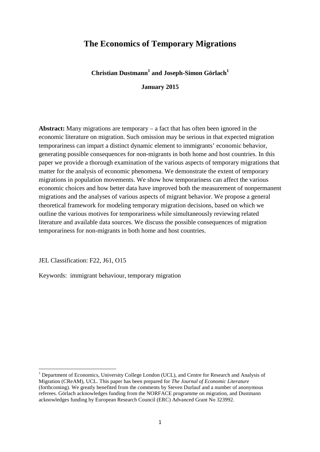## **The Economics of Temporary Migrations**

**Christian Dustmann<sup>1</sup> and Joseph-Simon Görlach<sup>1</sup>**

**January 2015**

**Abstract:** Many migrations are temporary – a fact that has often been ignored in the economic literature on migration. Such omission may be serious in that expected migration temporariness can impart a distinct dynamic element to immigrants' economic behavior, generating possible consequences for non-migrants in both home and host countries. In this paper we provide a thorough examination of the various aspects of temporary migrations that matter for the analysis of economic phenomena. We demonstrate the extent of temporary migrations in population movements. We show how temporariness can affect the various economic choices and how better data have improved both the measurement of nonpermanent migrations and the analyses of various aspects of migrant behavior. We propose a general theoretical framework for modeling temporary migration decisions, based on which we outline the various motives for temporariness while simultaneously reviewing related literature and available data sources. We discuss the possible consequences of migration temporariness for non-migrants in both home and host countries.

JEL Classification: F22, J61, O15

Keywords: immigrant behaviour, temporary migration

<sup>&</sup>lt;sup>1</sup> Department of Economics, University College London (UCL), and Centre for Research and Analysis of Migration (CReAM), UCL. This paper has been prepared for *The Journal of Economic Literature* (forthcoming). We greatly benefited from the comments by Steven Durlauf and a number of anonymous referees. Görlach acknowledges funding from the NORFACE programme on migration, and Dustmann acknowledges funding by European Research Council (ERC) Advanced Grant No 323992.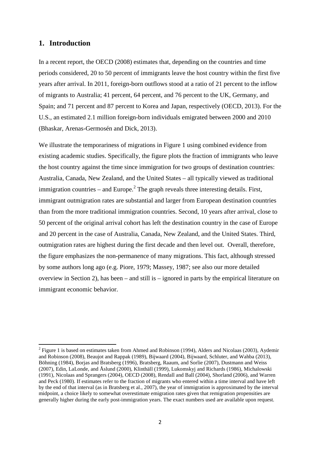#### **1. Introduction**

In a recent report, the OECD (2008) estimates that, depending on the countries and time periods considered, 20 to 50 percent of immigrants leave the host country within the first five years after arrival. In 2011, foreign-born outflows stood at a ratio of 21 percent to the inflow of migrants to Australia; 41 percent, 64 percent, and 76 percent to the UK, Germany, and Spain; and 71 percent and 87 percent to Korea and Japan, respectively (OECD, 2013). For the U.S., an estimated 2.1 million foreign-born individuals emigrated between 2000 and 2010 (Bhaskar, Arenas-Germosén and Dick, 2013).

We illustrate the temporariness of migrations in Figure 1 using combined evidence from existing academic studies. Specifically, the figure plots the fraction of immigrants who leave the host country against the time since immigration for two groups of destination countries: Australia, Canada, New Zealand, and the United States – all typically viewed as traditional immigration countries – and Europe.<sup>2</sup> The graph reveals three interesting details. First, immigrant outmigration rates are substantial and larger from European destination countries than from the more traditional immigration countries. Second, 10 years after arrival, close to 50 percent of the original arrival cohort has left the destination country in the case of Europe and 20 percent in the case of Australia, Canada, New Zealand, and the United States. Third, outmigration rates are highest during the first decade and then level out. Overall, therefore, the figure emphasizes the non-permanence of many migrations. This fact, although stressed by some authors long ago (e.g. Piore, 1979; Massey, 1987; see also our more detailed overview in Section 2), has been – and still is – ignored in parts by the empirical literature on immigrant economic behavior.

 $2$  Figure 1 is based on estimates taken from Ahmed and Robinson (1994), Alders and Nicolaas (2003), Aydemir and Robinson (2008), Beaujot and Rappak (1989), Bijwaard (2004), Bijwaard, Schluter, and Wahba (2013), Böhning (1984), Borjas and Bratsberg (1996), Bratsberg, Raaum, and Sorlie (2007), Dustmann and Weiss (2007), Edin, LaLonde, and Åslund (2000), Klinthäll (1999), Lukomskyj and Richards (1986), Michalowski (1991), Nicolaas and Sprangers (2004), OECD (2008), Rendall and Ball (2004), Shorland (2006), and Warren and Peck (1980). If estimates refer to the fraction of migrants who entered within a time interval and have left by the end of that interval (as in Bratsberg et al., 2007), the year of immigration is approximated by the interval midpoint, a choice likely to somewhat overestimate emigration rates given that remigration propensities are generally higher during the early post-immigration years. The exact numbers used are available upon request.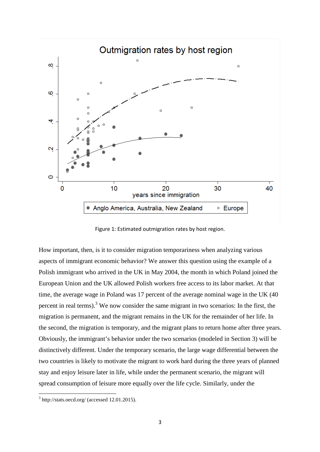

Figure 1: Estimated outmigration rates by host region.

How important, then, is it to consider migration temporariness when analyzing various aspects of immigrant economic behavior? We answer this question using the example of a Polish immigrant who arrived in the UK in May 2004, the month in which Poland joined the European Union and the UK allowed Polish workers free access to its labor market. At that time, the average wage in Poland was 17 percent of the average nominal wage in the UK (40 percent in real terms).<sup>3</sup> We now consider the same migrant in two scenarios: In the first, the migration is permanent, and the migrant remains in the UK for the remainder of her life. In the second, the migration is temporary, and the migrant plans to return home after three years. Obviously, the immigrant's behavior under the two scenarios (modeled in Section 3) will be distinctively different. Under the temporary scenario, the large wage differential between the two countries is likely to motivate the migrant to work hard during the three years of planned stay and enjoy leisure later in life, while under the permanent scenario, the migrant will spread consumption of leisure more equally over the life cycle. Similarly, under the

 $3$  http://stats.oecd.org/ (accessed 12.01.2015).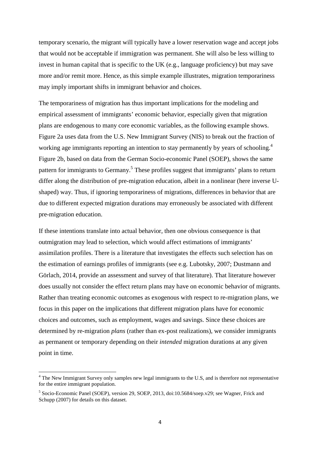temporary scenario, the migrant will typically have a lower reservation wage and accept jobs that would not be acceptable if immigration was permanent. She will also be less willing to invest in human capital that is specific to the UK (e.g., language proficiency) but may save more and/or remit more. Hence, as this simple example illustrates, migration temporariness may imply important shifts in immigrant behavior and choices.

The temporariness of migration has thus important implications for the modeling and empirical assessment of immigrants' economic behavior, especially given that migration plans are endogenous to many core economic variables, as the following example shows. Figure 2a uses data from the U.S. New Immigrant Survey (NIS) to break out the fraction of working age immigrants reporting an intention to stay permanently by years of schooling.<sup>4</sup> Figure 2b, based on data from the German Socio-economic Panel (SOEP), shows the same pattern for immigrants to Germany.<sup>5</sup> These profiles suggest that immigrants' plans to return differ along the distribution of pre-migration education, albeit in a nonlinear (here inverse Ushaped) way. Thus, if ignoring temporariness of migrations, differences in behavior that are due to different expected migration durations may erroneously be associated with different pre-migration education.

If these intentions translate into actual behavior, then one obvious consequence is that outmigration may lead to selection, which would affect estimations of immigrants' assimilation profiles. There is a literature that investigates the effects such selection has on the estimation of earnings profiles of immigrants (see e.g. Lubotsky, 2007; Dustmann and Görlach, 2014, provide an assessment and survey of that literature). That literature however does usually not consider the effect return plans may have on economic behavior of migrants. Rather than treating economic outcomes as exogenous with respect to re-migration plans, we focus in this paper on the implications that different migration plans have for economic choices and outcomes, such as employment, wages and savings. Since these choices are determined by re-migration *plans* (rather than ex-post realizations), we consider immigrants as permanent or temporary depending on their *intended* migration durations at any given point in time.

<sup>&</sup>lt;sup>4</sup> The New Immigrant Survey only samples new legal immigrants to the U.S, and is therefore not representative for the entire immigrant population.

<sup>&</sup>lt;sup>5</sup> Socio-Economic Panel (SOEP), version 29, SOEP, 2013, doi:10.5684/soep.v29; see Wagner, Frick and Schupp (2007) for details on this dataset.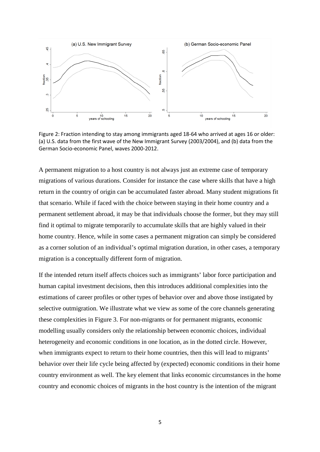

Figure 2: Fraction intending to stay among immigrants aged 18-64 who arrived at ages 16 or older: (a) U.S. data from the first wave of the New Immigrant Survey (2003/2004), and (b) data from the German Socio-economic Panel, waves 2000-2012.

A permanent migration to a host country is not always just an extreme case of temporary migrations of various durations. Consider for instance the case where skills that have a high return in the country of origin can be accumulated faster abroad. Many student migrations fit that scenario. While if faced with the choice between staying in their home country and a permanent settlement abroad, it may be that individuals choose the former, but they may still find it optimal to migrate temporarily to accumulate skills that are highly valued in their home country. Hence, while in some cases a permanent migration can simply be considered as a corner solution of an individual's optimal migration duration, in other cases, a temporary migration is a conceptually different form of migration.

If the intended return itself affects choices such as immigrants' labor force participation and human capital investment decisions, then this introduces additional complexities into the estimations of career profiles or other types of behavior over and above those instigated by selective outmigration. We illustrate what we view as some of the core channels generating these complexities in Figure 3. For non-migrants or for permanent migrants, economic modelling usually considers only the relationship between economic choices, individual heterogeneity and economic conditions in one location, as in the dotted circle. However, when immigrants expect to return to their home countries, then this will lead to migrants' behavior over their life cycle being affected by (expected) economic conditions in their home country environment as well. The key element that links economic circumstances in the home country and economic choices of migrants in the host country is the intention of the migrant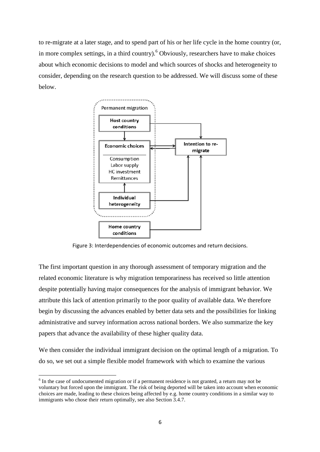to re-migrate at a later stage, and to spend part of his or her life cycle in the home country (or, in more complex settings, in a third country).<sup>6</sup> Obviously, researchers have to make choices about which economic decisions to model and which sources of shocks and heterogeneity to consider, depending on the research question to be addressed. We will discuss some of these below.

![](_page_7_Figure_1.jpeg)

Figure 3: Interdependencies of economic outcomes and return decisions.

The first important question in any thorough assessment of temporary migration and the related economic literature is why migration temporariness has received so little attention despite potentially having major consequences for the analysis of immigrant behavior. We attribute this lack of attention primarily to the poor quality of available data. We therefore begin by discussing the advances enabled by better data sets and the possibilities for linking administrative and survey information across national borders. We also summarize the key papers that advance the availability of these higher quality data.

We then consider the individual immigrant decision on the optimal length of a migration. To do so, we set out a simple flexible model framework with which to examine the various

 $6$  In the case of undocumented migration or if a permanent residence is not granted, a return may not be voluntary but forced upon the immigrant. The risk of being deported will be taken into account when economic choices are made, leading to these choices being affected by e.g. home country conditions in a similar way to immigrants who chose their return optimally, see also Section 3.4.7.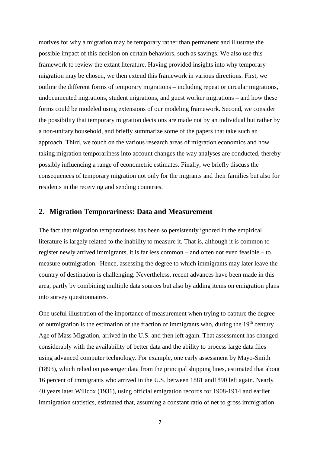motives for why a migration may be temporary rather than permanent and illustrate the possible impact of this decision on certain behaviors, such as savings. We also use this framework to review the extant literature. Having provided insights into why temporary migration may be chosen, we then extend this framework in various directions. First, we outline the different forms of temporary migrations – including repeat or circular migrations, undocumented migrations, student migrations, and guest worker migrations – and how these forms could be modeled using extensions of our modeling framework. Second, we consider the possibility that temporary migration decisions are made not by an individual but rather by a non-unitary household, and briefly summarize some of the papers that take such an approach. Third, we touch on the various research areas of migration economics and how taking migration temporariness into account changes the way analyses are conducted, thereby possibly influencing a range of econometric estimates. Finally, we briefly discuss the consequences of temporary migration not only for the migrants and their families but also for residents in the receiving and sending countries.

#### **2. Migration Temporariness: Data and Measurement**

The fact that migration temporariness has been so persistently ignored in the empirical literature is largely related to the inability to measure it. That is, although it is common to register newly arrived immigrants, it is far less common – and often not even feasible – to measure outmigration. Hence, assessing the degree to which immigrants may later leave the country of destination is challenging. Nevertheless, recent advances have been made in this area, partly by combining multiple data sources but also by adding items on emigration plans into survey questionnaires.

One useful illustration of the importance of measurement when trying to capture the degree of outmigration is the estimation of the fraction of immigrants who, during the  $19<sup>th</sup>$  century Age of Mass Migration, arrived in the U.S. and then left again. That assessment has changed considerably with the availability of better data and the ability to process large data files using advanced computer technology. For example, one early assessment by Mayo-Smith (1893), which relied on passenger data from the principal shipping lines, estimated that about 16 percent of immigrants who arrived in the U.S. between 1881 and1890 left again. Nearly 40 years later Willcox (1931), using official emigration records for 1908-1914 and earlier immigration statistics, estimated that, assuming a constant ratio of net to gross immigration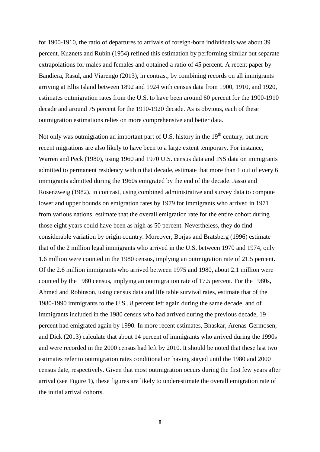for 1900-1910, the ratio of departures to arrivals of foreign-born individuals was about 39 percent. Kuznets and Rubin (1954) refined this estimation by performing similar but separate extrapolations for males and females and obtained a ratio of 45 percent. A recent paper by Bandiera, Rasul, and Viarengo (2013), in contrast, by combining records on all immigrants arriving at Ellis Island between 1892 and 1924 with census data from 1900, 1910, and 1920, estimates outmigration rates from the U.S. to have been around 60 percent for the 1900-1910 decade and around 75 percent for the 1910-1920 decade. As is obvious, each of these outmigration estimations relies on more comprehensive and better data.

Not only was outmigration an important part of U.S. history in the 19<sup>th</sup> century, but more recent migrations are also likely to have been to a large extent temporary. For instance, Warren and Peck (1980), using 1960 and 1970 U.S. census data and INS data on immigrants admitted to permanent residency within that decade, estimate that more than 1 out of every 6 immigrants admitted during the 1960s emigrated by the end of the decade. Jasso and Rosenzweig (1982), in contrast, using combined administrative and survey data to compute lower and upper bounds on emigration rates by 1979 for immigrants who arrived in 1971 from various nations, estimate that the overall emigration rate for the entire cohort during those eight years could have been as high as 50 percent. Nevertheless, they do find considerable variation by origin country. Moreover, Borjas and Bratsberg (1996) estimate that of the 2 million legal immigrants who arrived in the U.S. between 1970 and 1974, only 1.6 million were counted in the 1980 census, implying an outmigration rate of 21.5 percent. Of the 2.6 million immigrants who arrived between 1975 and 1980, about 2.1 million were counted by the 1980 census, implying an outmigration rate of 17.5 percent. For the 1980s, Ahmed and Robinson, using census data and life table survival rates, estimate that of the 1980-1990 immigrants to the U.S., 8 percent left again during the same decade, and of immigrants included in the 1980 census who had arrived during the previous decade, 19 percent had emigrated again by 1990. In more recent estimates, Bhaskar, Arenas-Germosen, and Dick (2013) calculate that about 14 percent of immigrants who arrived during the 1990s and were recorded in the 2000 census had left by 2010. It should be noted that these last two estimates refer to outmigration rates conditional on having stayed until the 1980 and 2000 census date, respectively. Given that most outmigration occurs during the first few years after arrival (see Figure 1), these figures are likely to underestimate the overall emigration rate of the initial arrival cohorts.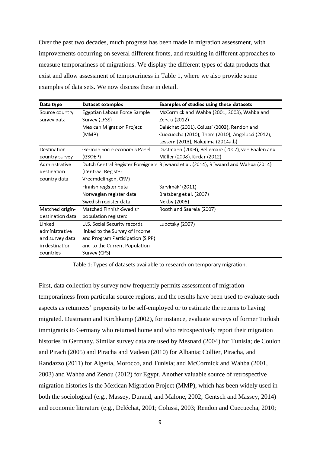Over the past two decades, much progress has been made in migration assessment, with improvements occurring on several different fronts, and resulting in different approaches to measure temporariness of migrations. We display the different types of data products that exist and allow assessment of temporariness in Table 1, where we also provide some examples of data sets. We now discuss these in detail.

| Data type        | Dataset examples                 | <b>Examples of studies using these datasets</b>                                     |
|------------------|----------------------------------|-------------------------------------------------------------------------------------|
| Source country   | Egyptian Labour Force Sample     | McCormick and Wahba (2001, 2003), Wahba and                                         |
| survey data      | Survey (LFSS)                    | Zenou (2012)                                                                        |
|                  | Mexican Migration Project        | Deléchat (2001), Colussi (2003), Rendon and                                         |
|                  | (MMP)                            | Cuecuecha (2010), Thom (2010), Angelucci (2012),                                    |
|                  |                                  | Lessem (2013), Nakajima (2014a,b)                                                   |
| Destination      | German Socio-economic Panel      | Dustmann (2003), Bellemare (2007), van Baalen and                                   |
| country survey   | (GSOEP)                          | Müller (2008), Kırdar (2012)                                                        |
| Adminstrative    |                                  | Dutch Central Register Foreigners Bijwaard et al. (2014), Bijwaard and Wahba (2014) |
| destination      | (Centraal Register               |                                                                                     |
| country data     | Vreemdelingen, CRV)              |                                                                                     |
|                  | Finnish register data            | Sarvimäki (2011)                                                                    |
|                  | Norwegian register data          | Bratsberg et al. (2007)                                                             |
|                  | Swedish register data            | Nekby (2006)                                                                        |
| Matched origin-  | Matched Finnish-Swedish          | Rooth and Saarela (2007)                                                            |
| destination data | population registers             |                                                                                     |
| Linked           | U.S. Social Security records     | Lubotsky (2007)                                                                     |
| administrative   | linked to the Survey of Income   |                                                                                     |
| and survey data  | and Program Participation (SIPP) |                                                                                     |
| in destination   | and to the Current Population    |                                                                                     |
| countries        | Survey (CPS)                     |                                                                                     |

Table 1: Types of datasets available to research on temporary migration.

First, data collection by survey now frequently permits assessment of migration temporariness from particular source regions, and the results have been used to evaluate such aspects as returnees' propensity to be self-employed or to estimate the returns to having migrated. Dustmann and Kirchkamp (2002), for instance, evaluate surveys of former Turkish immigrants to Germany who returned home and who retrospectively report their migration histories in Germany. Similar survey data are used by Mesnard (2004) for Tunisia; de Coulon and Pirach (2005) and Piracha and Vadean (2010) for Albania; Collier, Piracha, and Randazzo (2011) for Algeria, Morocco, and Tunisia; and McCormick and Wahba (2001, 2003) and Wahba and Zenou (2012) for Egypt. Another valuable source of retrospective migration histories is the Mexican Migration Project (MMP), which has been widely used in both the sociological (e.g., Massey, Durand, and Malone, 2002; Gentsch and Massey, 2014) and economic literature (e.g., Deléchat, 2001; Colussi, 2003; Rendon and Cuecuecha, 2010;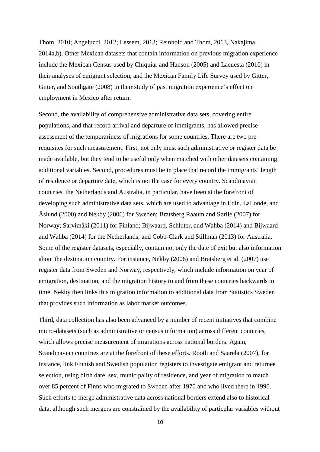Thom, 2010; Angelucci, 2012; Lessem, 2013; Reinhold and Thom, 2013, Nakajima, 2014a,b). Other Mexican datasets that contain information on previous migration experience include the Mexican Census used by Chiquiar and Hanson (2005) and Lacuesta (2010) in their analyses of emigrant selection, and the Mexican Family Life Survey used by Gitter, Gitter, and Southgate (2008) in their study of past migration experience's effect on employment in Mexico after return.

Second, the availability of comprehensive administrative data sets, covering entire populations, and that record arrival and departure of immigrants, has allowed precise assessment of the temporariness of migrations for some countries. There are two prerequisites for such measurement: First, not only must such administrative or register data be made available, but they tend to be useful only when matched with other datasets containing additional variables. Second, procedures must be in place that record the immigrants' length of residence or departure date, which is not the case for every country. Scandinavian countries, the Netherlands and Australia, in particular, have been at the forefront of developing such administrative data sets, which are used to advantage in Edin, LaLonde, and Åslund (2000) and Nekby (2006) for Sweden; Bratsberg Raaum and Sørlie (2007) for Norway; Sarvimäki (2011) for Finland; Bijwaard, Schluter, and Wahba (2014) and Bijwaard and Wahba (2014) for the Netherlands; and Cobb-Clark and Stillman (2013) for Australia. Some of the register datasets, especially, contain not only the date of exit but also information about the destination country. For instance, Nekby (2006) and Bratsberg et al. (2007) use register data from Sweden and Norway, respectively, which include information on year of emigration, destination, and the migration history to and from these countries backwards in time. Nekby then links this migration information to additional data from Statistics Sweden that provides such information as labor market outcomes.

Third, data collection has also been advanced by a number of recent initiatives that combine micro-datasets (such as administrative or census information) across different countries, which allows precise measurement of migrations across national borders. Again, Scandinavian countries are at the forefront of these efforts. Rooth and Saarela (2007), for instance, link Finnish and Swedish population registers to investigate emigrant and returnee selection, using birth date, sex, municipality of residence, and year of migration to match over 85 percent of Finns who migrated to Sweden after 1970 and who lived there in 1990. Such efforts to merge administrative data across national borders extend also to historical data, although such mergers are constrained by the availability of particular variables without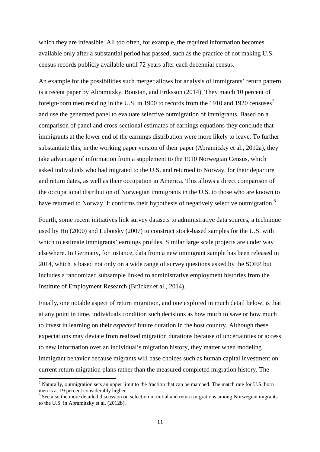which they are infeasible. All too often, for example, the required information becomes available only after a substantial period has passed, such as the practice of not making U.S. census records publicly available until 72 years after each decennial census.

An example for the possibilities such merger allows for analysis of immigrants' return pattern is a recent paper by Abramitzky, Boustan, and Eriksson (2014). They match 10 percent of foreign-born men residing in the U.S. in 1900 to records from the 1910 and 1920 censuses<sup>7</sup> and use the generated panel to evaluate selective outmigration of immigrants. Based on a comparison of panel and cross-sectional estimates of earnings equations they conclude that immigrants at the lower end of the earnings distribution were more likely to leave. To further substantiate this, in the working paper version of their paper (Abramitzky et al., 2012a), they take advantage of information from a supplement to the 1910 Norwegian Census, which asked individuals who had migrated to the U.S. and returned to Norway, for their departure and return dates, as well as their occupation in America. This allows a direct comparison of the occupational distribution of Norwegian immigrants in the U.S. to those who are known to have returned to Norway. It confirms their hypothesis of negatively selective outmigration.<sup>8</sup>

Fourth, some recent initiatives link survey datasets to administrative data sources, a technique used by Hu (2000) and Lubotsky (2007) to construct stock-based samples for the U.S. with which to estimate immigrants' earnings profiles. Similar large scale projects are under way elsewhere. In Germany, for instance, data from a new immigrant sample has been released in 2014, which is based not only on a wide range of survey questions asked by the SOEP but includes a randomized subsample linked to administrative employment histories from the Institute of Employment Research (Brücker et al., 2014).

Finally, one notable aspect of return migration, and one explored in much detail below, is that at any point in time, individuals condition such decisions as how much to save or how much to invest in learning on their *expected* future duration in the host country. Although these expectations may deviate from realized migration durations because of uncertainties or access to new information over an individual's migration history, they matter when modeling immigrant behavior because migrants will base choices such as human capital investment on current return migration plans rather than the measured completed migration history. The

 $<sup>7</sup>$  Naturally, outmigration sets an upper limit to the fraction that can be matched. The match rate for U.S. born</sup> men is at 19 percent considerably higher.

<sup>&</sup>lt;sup>8</sup> See also the more detailed discussion on selection in initial and return migrations among Norwegian migrants to the U.S. in Abramitzky et al. (2012b).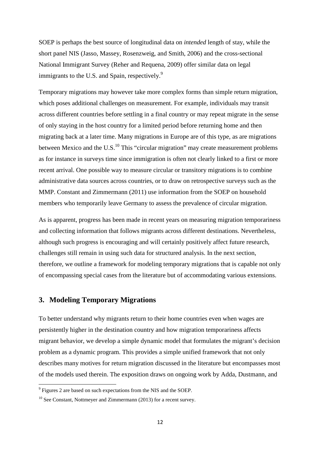SOEP is perhaps the best source of longitudinal data on *intended* length of stay, while the short panel NIS (Jasso, Massey, Rosenzweig, and Smith, 2006) and the cross-sectional National Immigrant Survey (Reher and Requena, 2009) offer similar data on legal immigrants to the U.S. and Spain, respectively.<sup>9</sup>

Temporary migrations may however take more complex forms than simple return migration, which poses additional challenges on measurement. For example, individuals may transit across different countries before settling in a final country or may repeat migrate in the sense of only staying in the host country for a limited period before returning home and then migrating back at a later time. Many migrations in Europe are of this type, as are migrations between Mexico and the U.S. $^{10}$  This "circular migration" may create measurement problems as for instance in surveys time since immigration is often not clearly linked to a first or more recent arrival. One possible way to measure circular or transitory migrations is to combine administrative data sources across countries, or to draw on retrospective surveys such as the MMP. Constant and Zimmermann (2011) use information from the SOEP on household members who temporarily leave Germany to assess the prevalence of circular migration.

As is apparent, progress has been made in recent years on measuring migration temporariness and collecting information that follows migrants across different destinations. Nevertheless, although such progress is encouraging and will certainly positively affect future research, challenges still remain in using such data for structured analysis. In the next section, therefore, we outline a framework for modeling temporary migrations that is capable not only of encompassing special cases from the literature but of accommodating various extensions.

#### **3. Modeling Temporary Migrations**

To better understand why migrants return to their home countries even when wages are persistently higher in the destination country and how migration temporariness affects migrant behavior, we develop a simple dynamic model that formulates the migrant's decision problem as a dynamic program. This provides a simple unified framework that not only describes many motives for return migration discussed in the literature but encompasses most of the models used therein. The exposition draws on ongoing work by Adda, Dustmann, and

 $9^9$  Figures 2 are based on such expectations from the NIS and the SOEP.

 $10$  See Constant, Nottmeyer and Zimmermann (2013) for a recent survey.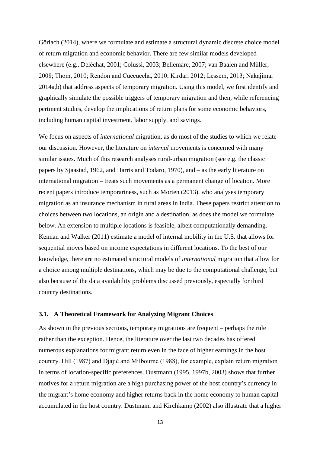Görlach (2014), where we formulate and estimate a structural dynamic discrete choice model of return migration and economic behavior. There are few similar models developed elsewhere (e.g., Deléchat, 2001; Colussi, 2003; Bellemare, 2007; van Baalen and Müller, 2008; Thom, 2010; Rendon and Cuecuecha, 2010; Kırdar, 2012; Lessem, 2013; Nakajima, 2014a,b) that address aspects of temporary migration. Using this model, we first identify and graphically simulate the possible triggers of temporary migration and then, while referencing pertinent studies, develop the implications of return plans for some economic behaviors, including human capital investment, labor supply, and savings.

We focus on aspects of *international* migration, as do most of the studies to which we relate our discussion. However, the literature on *internal* movements is concerned with many similar issues. Much of this research analyses rural-urban migration (see e.g. the classic papers by Sjaastad, 1962, and Harris and Todaro, 1970), and – as the early literature on international migration – treats such movements as a permanent change of location. More recent papers introduce temporariness, such as Morten (2013), who analyses temporary migration as an insurance mechanism in rural areas in India. These papers restrict attention to choices between two locations, an origin and a destination, as does the model we formulate below. An extension to multiple locations is feasible, albeit computationally demanding. Kennan and Walker (2011) estimate a model of internal mobility in the U.S. that allows for sequential moves based on income expectations in different locations. To the best of our knowledge, there are no estimated structural models of *international* migration that allow for a choice among multiple destinations, which may be due to the computational challenge, but also because of the data availability problems discussed previously, especially for third country destinations.

#### **3.1. A Theoretical Framework for Analyzing Migrant Choices**

As shown in the previous sections, temporary migrations are frequent – perhaps the rule rather than the exception. Hence, the literature over the last two decades has offered numerous explanations for migrant return even in the face of higher earnings in the host country. Hill (1987) and Djajić and Milbourne (1988), for example, explain return migration in terms of location-specific preferences. Dustmann (1995, 1997b, 2003) shows that further motives for a return migration are a high purchasing power of the host country's currency in the migrant's home economy and higher returns back in the home economy to human capital accumulated in the host country. Dustmann and Kirchkamp (2002) also illustrate that a higher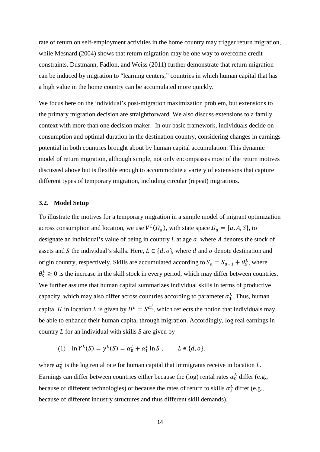rate of return on self-employment activities in the home country may trigger return migration, while Mesnard (2004) shows that return migration may be one way to overcome credit constraints. Dustmann, Fadlon, and Weiss (2011) further demonstrate that return migration can be induced by migration to "learning centers," countries in which human capital that has a high value in the home country can be accumulated more quickly.

We focus here on the individual's post-migration maximization problem, but extensions to the primary migration decision are straightforward. We also discuss extensions to a family context with more than one decision maker. In our basic framework, individuals decide on consumption and optimal duration in the destination country, considering changes in earnings potential in both countries brought about by human capital accumulation. This dynamic model of return migration, although simple, not only encompasses most of the return motives discussed above but is flexible enough to accommodate a variety of extensions that capture different types of temporary migration, including circular (repeat) migrations.

#### **3.2. Model Setup**

To illustrate the motives for a temporary migration in a simple model of migrant optimization across consumption and location, we use  $V^L(\Omega_a)$ , with state space  $\Omega_a = \{a, A, S\}$ , to designate an individual's value of being in country  $L$  at age  $a$ , where  $A$  denotes the stock of assets and S the individual's skills. Here,  $L \in \{d, o\}$ , where d and o denote destination and origin country, respectively. Skills are accumulated according to  $S_a = S_{a-1} + \theta_S^L$ , where  $\theta_S^L \geq 0$  is the increase in the skill stock in every period, which may differ between countries. We further assume that human capital summarizes individual skills in terms of productive capacity, which may also differ across countries according to parameter  $\alpha_1^L$ . Thus, human capital *H* in location *L* is given by  $H^L = S^{\alpha_1^L}$ , which reflects the notion that individuals may be able to enhance their human capital through migration. Accordingly, log real earnings in country *L* for an individual with skills *S* are given by

(1)  $\ln Y^L(S) = y^L(S) = \alpha_0^L + \alpha_1^L \ln S$ ,  $L \in \{d, o\},$ 

where  $\alpha_0^L$  is the log rental rate for human capital that immigrants receive in location  $L$ . Earnings can differ between countries either because the (log) rental rates  $\alpha_0^L$  differ (e.g., because of different technologies) or because the rates of return to skills  $\alpha_1^L$  differ (e.g., because of different industry structures and thus different skill demands).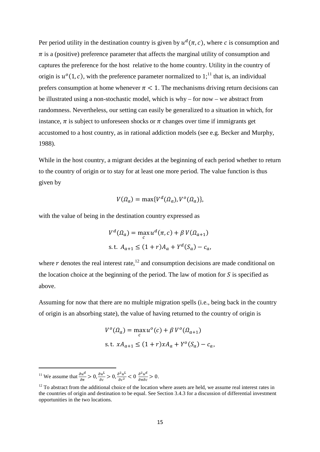Per period utility in the destination country is given by  $u^d(\pi, c)$ , where c is consumption and  $\pi$  is a (positive) preference parameter that affects the marginal utility of consumption and captures the preference for the host relative to the home country. Utility in the country of origin is  $u^o(1, c)$ , with the preference parameter normalized to  $1$ ;<sup>11</sup> that is, an individual prefers consumption at home whenever  $\pi$  < 1. The mechanisms driving return decisions can be illustrated using a non-stochastic model, which is why – for now – we abstract from randomness. Nevertheless, our setting can easily be generalized to a situation in which, for instance,  $\pi$  is subject to unforeseen shocks or  $\pi$  changes over time if immigrants get accustomed to a host country, as in rational addiction models (see e.g. Becker and Murphy, 1988).

While in the host country, a migrant decides at the beginning of each period whether to return to the country of origin or to stay for at least one more period. The value function is thus given by

$$
V(\Omega_a) = \max\{V^d(\Omega_a), V^o(\Omega_a)\},\
$$

with the value of being in the destination country expressed as

$$
V^{d}(\Omega_{a}) = \max_{c} u^{d}(\pi, c) + \beta V(\Omega_{a+1})
$$
  
s.t.  $A_{a+1} \le (1+r)A_{a} + Y^{d}(S_{a}) - c_{a}$ ,

where r denotes the real interest rate,  $12$  and consumption decisions are made conditional on the location choice at the beginning of the period. The law of motion for  $S$  is specified as above.

Assuming for now that there are no multiple migration spells (i.e., being back in the country of origin is an absorbing state), the value of having returned to the country of origin is

$$
V^{o}(\Omega_{a}) = \max_{c} u^{o}(c) + \beta V^{o}(\Omega_{a+1})
$$
  
s.t.  $xA_{a+1} \le (1+r)xA_{a} + Y^{o}(S_{a}) - c_{a}$ ,

<sup>11</sup> We assume that  $\frac{\partial u^d}{\partial x^d}$  $\frac{\partial u^a}{\partial \pi} > 0, \frac{\partial u^L}{\partial c} > 0,$  $\frac{\partial u^L}{\partial c} > 0, \frac{\partial^2 u^L}{\partial c^2} < 0 \frac{\partial^2 u^d}{\partial \pi \partial c} > 0$  $\frac{\partial u}{\partial \pi \partial c} > 0.$ 

 $12$  To abstract from the additional choice of the location where assets are held, we assume real interest rates in the countries of origin and destination to be equal. See Section 3.4.3 for a discussion of differential investment opportunities in the two locations.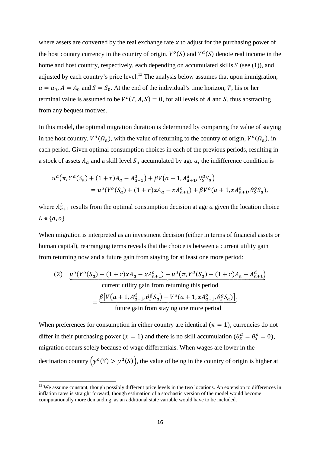where assets are converted by the real exchange rate  $x$  to adjust for the purchasing power of the host country currency in the country of origin.  $Y^{\circ}(S)$  and  $Y^d(S)$  denote real income in the home and host country, respectively, each depending on accumulated skills  $S$  (see (1)), and adjusted by each country's price level.<sup>13</sup> The analysis below assumes that upon immigration,  $a = a_0$ ,  $A = A_0$  and  $S = S_0$ . At the end of the individual's time horizon, T, his or her terminal value is assumed to be  $V^L(T, A, S) = 0$ , for all levels of A and S, thus abstracting from any bequest motives.

In this model, the optimal migration duration is determined by comparing the value of staying in the host country,  $V^d(\Omega_a)$ , with the value of returning to the country of origin,  $V^o(\Omega_a)$ , in each period. Given optimal consumption choices in each of the previous periods, resulting in a stock of assets  $A_a$  and a skill level  $S_a$  accumulated by age  $a$ , the indifference condition is

$$
u^{d}(\pi, Y^{d}(S_{a}) + (1+r)A_{a} - A_{a+1}^{d}) + \beta V(a+1, A_{a+1}^{d}, \theta_{S}^{d} S_{a})
$$
  
= 
$$
u^{o}(Y^{o}(S_{a}) + (1+r)xA_{a} - xA_{a+1}^{o}) + \beta V^{o}(a+1, xA_{a+1}^{o}, \theta_{S}^{o} S_{a}),
$$

where  $A_{a+1}^L$  results from the optimal consumption decision at age  $a$  given the location choice  $L \in \{d, o\}.$ 

When migration is interpreted as an investment decision (either in terms of financial assets or human capital), rearranging terms reveals that the choice is between a current utility gain from returning now and a future gain from staying for at least one more period:

(2) 
$$
\frac{u^{o}(Y^{o}(S_{a}) + (1+r)xA_{a} - xA_{a+1}^{o}) - u^{d}(\pi, Y^{d}(S_{a}) + (1+r)A_{a} - A_{a+1}^{d})}{\text{current utility gain from returning this period}}
$$

$$
= \frac{\beta[V(a+1, A_{a+1}^{d}, \theta_{s}^{d} S_{a}) - V^{o}(a+1, xA_{a+1}^{o}, \theta_{s}^{o} S_{a})]}{\text{future gain from staying one more period}}
$$

When preferences for consumption in either country are identical ( $\pi = 1$ ), currencies do not differ in their purchasing power  $(x = 1)$  and there is no skill accumulation  $(\theta_S^d = \theta_S^o = 0)$ , migration occurs solely because of wage differentials. When wages are lower in the destination country  $\left(y^o(S) > y^d(S)\right)$ , the value of being in the country of origin is higher at

<sup>&</sup>lt;sup>13</sup> We assume constant, though possibly different price levels in the two locations. An extension to differences in inflation rates is straight forward, though estimation of a stochastic version of the model would become computationally more demanding, as an additional state variable would have to be included.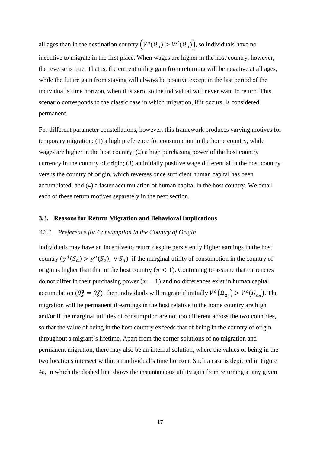all ages than in the destination country  $(V^{o}(\Omega_a)) > V^{d}(\Omega_a)$ , so individuals have no incentive to migrate in the first place. When wages are higher in the host country, however, the reverse is true. That is, the current utility gain from returning will be negative at all ages, while the future gain from staying will always be positive except in the last period of the individual's time horizon, when it is zero, so the individual will never want to return. This scenario corresponds to the classic case in which migration, if it occurs, is considered permanent.

For different parameter constellations, however, this framework produces varying motives for temporary migration: (1) a high preference for consumption in the home country, while wages are higher in the host country; (2) a high purchasing power of the host country currency in the country of origin; (3) an initially positive wage differential in the host country versus the country of origin, which reverses once sufficient human capital has been accumulated; and (4) a faster accumulation of human capital in the host country. We detail each of these return motives separately in the next section.

#### **3.3. Reasons for Return Migration and Behavioral Implications**

#### *3.3.1 Preference for Consumption in the Country of Origin*

Individuals may have an incentive to return despite persistently higher earnings in the host country  $(y^d(S_a) > y^o(S_a)$ ,  $\forall S_a)$  if the marginal utility of consumption in the country of origin is higher than that in the host country ( $\pi$  < 1). Continuing to assume that currencies do not differ in their purchasing power  $(x = 1)$  and no differences exist in human capital accumulation  $(\theta_S^d = \theta_S^o)$ , then individuals will migrate if initially  $V^d(\Omega_{a_0}) > V^o(\Omega_{a_0})$ . The migration will be permanent if earnings in the host relative to the home country are high and/or if the marginal utilities of consumption are not too different across the two countries, so that the value of being in the host country exceeds that of being in the country of origin throughout a migrant's lifetime. Apart from the corner solutions of no migration and permanent migration, there may also be an internal solution, where the values of being in the two locations intersect within an individual's time horizon. Such a case is depicted in Figure 4a, in which the dashed line shows the instantaneous utility gain from returning at any given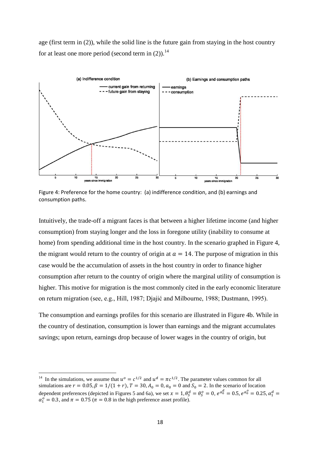age (first term in (2)), while the solid line is the future gain from staying in the host country for at least one more period (second term in  $(2)$ ).<sup>14</sup>

![](_page_19_Figure_1.jpeg)

Figure 4: Preference for the home country: (a) indifference condition, and (b) earnings and consumption paths.

Intuitively, the trade-off a migrant faces is that between a higher lifetime income (and higher consumption) from staying longer and the loss in foregone utility (inability to consume at home) from spending additional time in the host country. In the scenario graphed in Figure 4, the migrant would return to the country of origin at  $a = 14$ . The purpose of migration in this case would be the accumulation of assets in the host country in order to finance higher consumption after return to the country of origin where the marginal utility of consumption is higher. This motive for migration is the most commonly cited in the early economic literature on return migration (see, e.g., Hill, 1987; Djajić and Milbourne, 1988; Dustmann, 1995).

The consumption and earnings profiles for this scenario are illustrated in Figure 4b. While in the country of destination, consumption is lower than earnings and the migrant accumulates savings; upon return, earnings drop because of lower wages in the country of origin, but

<sup>&</sup>lt;sup>14</sup> In the simulations, we assume that  $u^{\circ} = c^{1/2}$  and  $u^d = \pi c^{1/2}$ . The parameter values common for all simulations are  $r = 0.05$ ,  $\beta = 1/(1 + r)$ ,  $T = 30$ ,  $A_0 = 0$ ,  $a_0 = 0$  and  $S_0 = 2$ . In the scenario of location dependent preferences (depicted in Figures 5 and 6a), we set  $x = 1$ ,  $\theta_S^d = \theta_S^o = 0$ ,  $e^{\alpha_0^d} = 0.5$ ,  $e^{\alpha_0^o} = 0.25$ ,  $\alpha_1^d =$  $\alpha_1^0 = 0.3$ , and  $\pi = 0.75$  ( $\pi = 0.8$  in the high preference asset profile).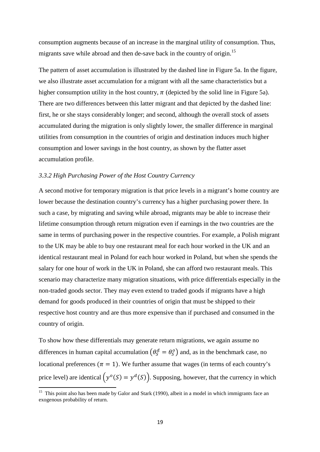consumption augments because of an increase in the marginal utility of consumption. Thus, migrants save while abroad and then de-save back in the country of origin.<sup>15</sup>

The pattern of asset accumulation is illustrated by the dashed line in Figure 5a. In the figure, we also illustrate asset accumulation for a migrant with all the same characteristics but a higher consumption utility in the host country,  $\pi$  (depicted by the solid line in Figure 5a). There are two differences between this latter migrant and that depicted by the dashed line: first, he or she stays considerably longer; and second, although the overall stock of assets accumulated during the migration is only slightly lower, the smaller difference in marginal utilities from consumption in the countries of origin and destination induces much higher consumption and lower savings in the host country, as shown by the flatter asset accumulation profile.

#### *3.3.2 High Purchasing Power of the Host Country Currency*

A second motive for temporary migration is that price levels in a migrant's home country are lower because the destination country's currency has a higher purchasing power there. In such a case, by migrating and saving while abroad, migrants may be able to increase their lifetime consumption through return migration even if earnings in the two countries are the same in terms of purchasing power in the respective countries. For example, a Polish migrant to the UK may be able to buy one restaurant meal for each hour worked in the UK and an identical restaurant meal in Poland for each hour worked in Poland, but when she spends the salary for one hour of work in the UK in Poland, she can afford two restaurant meals. This scenario may characterize many migration situations, with price differentials especially in the non-traded goods sector. They may even extend to traded goods if migrants have a high demand for goods produced in their countries of origin that must be shipped to their respective host country and are thus more expensive than if purchased and consumed in the country of origin.

To show how these differentials may generate return migrations, we again assume no differences in human capital accumulation  $(\theta_s^d = \theta_s^o)$  and, as in the benchmark case, no locational preferences ( $\pi = 1$ ). We further assume that wages (in terms of each country's price level) are identical  $\left(y^o(S) = y^d(S)\right)$ . Supposing, however, that the currency in which

<sup>&</sup>lt;sup>15</sup> This point also has been made by Galor and Stark (1990), albeit in a model in which immigrants face an exogenous probability of return.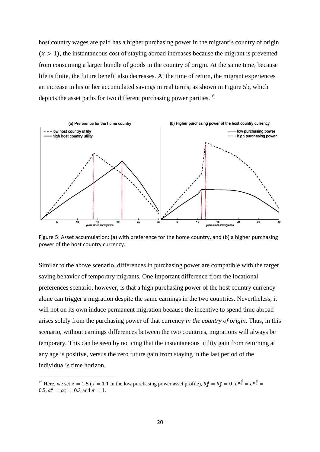host country wages are paid has a higher purchasing power in the migrant's country of origin  $(x > 1)$ , the instantaneous cost of staying abroad increases because the migrant is prevented from consuming a larger bundle of goods in the country of origin. At the same time, because life is finite, the future benefit also decreases. At the time of return, the migrant experiences an increase in his or her accumulated savings in real terms, as shown in Figure 5b, which depicts the asset paths for two different purchasing power parities.<sup>16</sup>

![](_page_21_Figure_1.jpeg)

Figure 5: Asset accumulation: (a) with preference for the home country, and (b) a higher purchasing power of the host country currency.

Similar to the above scenario, differences in purchasing power are compatible with the target saving behavior of temporary migrants. One important difference from the locational preferences scenario, however, is that a high purchasing power of the host country currency alone can trigger a migration despite the same earnings in the two countries. Nevertheless, it will not on its own induce permanent migration because the incentive to spend time abroad arises solely from the purchasing power of that currency *in the country of origin*. Thus, in this scenario, without earnings differences between the two countries, migrations will always be temporary. This can be seen by noticing that the instantaneous utility gain from returning at any age is positive, versus the zero future gain from staying in the last period of the individual's time horizon.

<sup>&</sup>lt;sup>16</sup> Here, we set  $x = 1.5$  ( $x = 1.1$  in the low purchasing power asset profile),  $\theta_s^d = \theta_s^o = 0$ ,  $e^{\alpha_0^d} = e^{\alpha_0^o} = 0$ 0.5,  $\alpha_1^d = \alpha_1^o = 0.3$  and  $\pi = 1$ .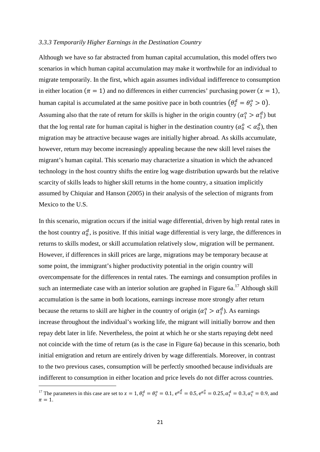#### *3.3.3 Temporarily Higher Earnings in the Destination Country*

Although we have so far abstracted from human capital accumulation, this model offers two scenarios in which human capital accumulation may make it worthwhile for an individual to migrate temporarily. In the first, which again assumes individual indifference to consumption in either location ( $\pi = 1$ ) and no differences in either currencies' purchasing power ( $x = 1$ ), human capital is accumulated at the same positive pace in both countries  $(\theta_s^d = \theta_s^o > 0)$ . Assuming also that the rate of return for skills is higher in the origin country  $(\alpha_1^o > \alpha_1^d)$  but that the log rental rate for human capital is higher in the destination country ( $\alpha_0^o < \alpha_0^d$ ), then migration may be attractive because wages are initially higher abroad. As skills accumulate, however, return may become increasingly appealing because the new skill level raises the migrant's human capital. This scenario may characterize a situation in which the advanced technology in the host country shifts the entire log wage distribution upwards but the relative scarcity of skills leads to higher skill returns in the home country, a situation implicitly assumed by Chiquiar and Hanson (2005) in their analysis of the selection of migrants from Mexico to the U.S.

In this scenario, migration occurs if the initial wage differential, driven by high rental rates in the host country  $\alpha_0^d$ , is positive. If this initial wage differential is very large, the differences in returns to skills modest, or skill accumulation relatively slow, migration will be permanent. However, if differences in skill prices are large, migrations may be temporary because at some point, the immigrant's higher productivity potential in the origin country will overcompensate for the differences in rental rates. The earnings and consumption profiles in such an intermediate case with an interior solution are graphed in Figure  $6a$ .<sup>17</sup> Although skill accumulation is the same in both locations, earnings increase more strongly after return because the returns to skill are higher in the country of origin ( $\alpha_1^o > \alpha_1^d$ ). As earnings increase throughout the individual's working life, the migrant will initially borrow and then repay debt later in life. Nevertheless, the point at which he or she starts repaying debt need not coincide with the time of return (as is the case in Figure 6a) because in this scenario, both initial emigration and return are entirely driven by wage differentials. Moreover, in contrast to the two previous cases, consumption will be perfectly smoothed because individuals are indifferent to consumption in either location and price levels do not differ across countries.

<sup>&</sup>lt;sup>17</sup> The parameters in this case are set to  $x = 1$ ,  $\theta_S^d = \theta_S^o = 0.1$ ,  $e^{\alpha_0^d} = 0.5$ ,  $e^{\alpha_0^o} = 0.25$ ,  $\alpha_1^d = 0.3$ ,  $\alpha_1^o = 0.9$ , and  $\pi = 1$ .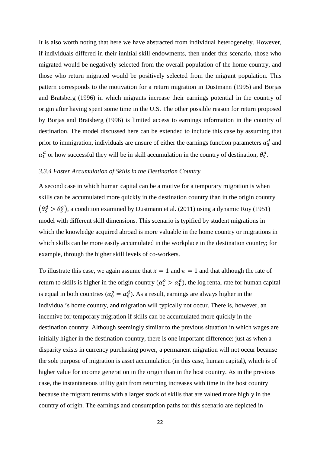It is also worth noting that here we have abstracted from individual heterogeneity. However, if individuals differed in their innitial skill endowments, then under this scenario, those who migrated would be negatively selected from the overall population of the home country, and those who return migrated would be positively selected from the migrant population. This pattern corresponds to the motivation for a return migration in Dustmann (1995) and Borjas and Bratsberg (1996) in which migrants increase their earnings potential in the country of origin after having spent some time in the U.S. The other possible reason for return proposed by Borjas and Bratsberg (1996) is limited access to earnings information in the country of destination. The model discussed here can be extended to include this case by assuming that prior to immigration, individuals are unsure of either the earnings function parameters  $\alpha_0^d$  and  $\alpha_1^d$  or how successful they will be in skill accumulation in the country of destination,  $\theta_s^d$ .

#### *3.3.4 Faster Accumulation of Skills in the Destination Country*

A second case in which human capital can be a motive for a temporary migration is when skills can be accumulated more quickly in the destination country than in the origin country  $(\theta_s^d > \theta_s^o)$ , a condition examined by Dustmann et al. (2011) using a dynamic Roy (1951) model with different skill dimensions. This scenario is typified by student migrations in which the knowledge acquired abroad is more valuable in the home country or migrations in which skills can be more easily accumulated in the workplace in the destination country; for example, through the higher skill levels of co-workers.

To illustrate this case, we again assume that  $x = 1$  and  $\pi = 1$  and that although the rate of return to skills is higher in the origin country  $(\alpha_1^o > \alpha_1^d)$ , the log rental rate for human capital is equal in both countries ( $\alpha_0^o = \alpha_0^d$ ). As a result, earnings are always higher in the individual's home country, and migration will typically not occur. There is, however, an incentive for temporary migration if skills can be accumulated more quickly in the destination country. Although seemingly similar to the previous situation in which wages are initially higher in the destination country, there is one important difference: just as when a disparity exists in currency purchasing power, a permanent migration will not occur because the sole purpose of migration is asset accumulation (in this case, human capital), which is of higher value for income generation in the origin than in the host country. As in the previous case, the instantaneous utility gain from returning increases with time in the host country because the migrant returns with a larger stock of skills that are valued more highly in the country of origin. The earnings and consumption paths for this scenario are depicted in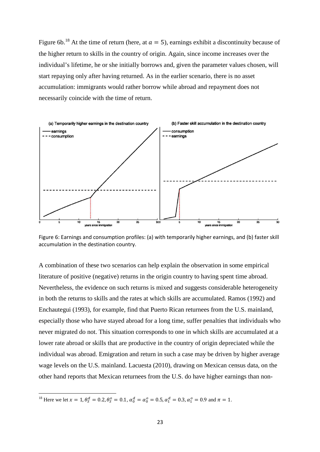Figure 6b.<sup>18</sup> At the time of return (here, at  $a = 5$ ), earnings exhibit a discontinuity because of the higher return to skills in the country of origin. Again, since income increases over the individual's lifetime, he or she initially borrows and, given the parameter values chosen, will start repaying only after having returned. As in the earlier scenario, there is no asset accumulation: immigrants would rather borrow while abroad and repayment does not necessarily coincide with the time of return.

![](_page_24_Figure_1.jpeg)

Figure 6: Earnings and consumption profiles: (a) with temporarily higher earnings, and (b) faster skill accumulation in the destination country.

A combination of these two scenarios can help explain the observation in some empirical literature of positive (negative) returns in the origin country to having spent time abroad. Nevertheless, the evidence on such returns is mixed and suggests considerable heterogeneity in both the returns to skills and the rates at which skills are accumulated. Ramos (1992) and Enchautegui (1993), for example, find that Puerto Rican returnees from the U.S. mainland, especially those who have stayed abroad for a long time, suffer penalties that individuals who never migrated do not. This situation corresponds to one in which skills are accumulated at a lower rate abroad or skills that are productive in the country of origin depreciated while the individual was abroad. Emigration and return in such a case may be driven by higher average wage levels on the U.S. mainland. Lacuesta (2010), drawing on Mexican census data, on the other hand reports that Mexican returnees from the U.S. do have higher earnings than non-

<sup>&</sup>lt;sup>18</sup> Here we let  $x = 1, \theta_S^d = 0.2, \theta_S^o = 0.1, \alpha_0^d = \alpha_0^o = 0.5, \alpha_1^d = 0.3, \alpha_1^o = 0.9$  and  $\pi = 1$ .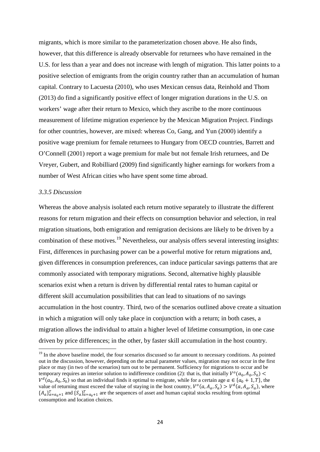migrants, which is more similar to the parameterization chosen above. He also finds, however, that this difference is already observable for returnees who have remained in the U.S. for less than a year and does not increase with length of migration. This latter points to a positive selection of emigrants from the origin country rather than an accumulation of human capital. Contrary to Lacuesta (2010), who uses Mexican census data, Reinhold and Thom (2013) do find a significantly positive effect of longer migration durations in the U.S. on workers' wage after their return to Mexico, which they ascribe to the more continuous measurement of lifetime migration experience by the Mexican Migration Project. Findings for other countries, however, are mixed: whereas Co, Gang, and Yun (2000) identify a positive wage premium for female returnees to Hungary from OECD countries, Barrett and O'Connell (2001) report a wage premium for male but not female Irish returnees, and De Vreyer, Gubert, and Robilliard (2009) find significantly higher earnings for workers from a number of West African cities who have spent some time abroad.

#### *3.3.5 Discussion*

Whereas the above analysis isolated each return motive separately to illustrate the different reasons for return migration and their effects on consumption behavior and selection, in real migration situations, both emigration and remigration decisions are likely to be driven by a combination of these motives.<sup>19</sup> Nevertheless, our analysis offers several interesting insights: First, differences in purchasing power can be a powerful motive for return migrations and, given differences in consumption preferences, can induce particular savings patterns that are commonly associated with temporary migrations. Second, alternative highly plausible scenarios exist when a return is driven by differential rental rates to human capital or different skill accumulation possibilities that can lead to situations of no savings accumulation in the host country. Third, two of the scenarios outlined above create a situation in which a migration will only take place in conjunction with a return; in both cases, a migration allows the individual to attain a higher level of lifetime consumption, in one case driven by price differences; in the other, by faster skill accumulation in the host country.

<sup>&</sup>lt;sup>19</sup> In the above baseline model, the four scenarios discussed so far amount to necessary conditions. As pointed out in the discussion, however, depending on the actual parameter values, migration may not occur in the first place or may (in two of the scenarios) turn out to be permanent. Sufficiency for migrations to occur and be temporary requires an interior solution to indifference condition (2): that is, that initially  $V^{\circ}(a_0, A_0, S_0)$  $V^d(a_0, A_0, S_0)$  so that an individual finds it optimal to emigrate, while for a certain age  $a \in \{a_0 + 1, T\}$ , the value of returning must exceed the value of staying in the host country,  $V^{\circ}(a, A_{a}, S_{a}) > V^{\circ}(a, A_{a}, S_{a})$ , where  ${A_a}_{a=a_0+1}^T$  and  ${S_a}_{a=a_0+1}^T$  are the sequences of asset and human capital stocks resulting from optimal consumption and location choices.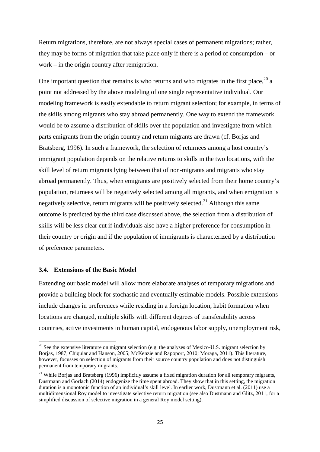Return migrations, therefore, are not always special cases of permanent migrations; rather, they may be forms of migration that take place only if there is a period of consumption – or work – in the origin country after remigration.

One important question that remains is who returns and who migrates in the first place,  $^{20}$  a point not addressed by the above modeling of one single representative individual. Our modeling framework is easily extendable to return migrant selection; for example, in terms of the skills among migrants who stay abroad permanently. One way to extend the framework would be to assume a distribution of skills over the population and investigate from which parts emigrants from the origin country and return migrants are drawn (cf. Borjas and Bratsberg, 1996). In such a framework, the selection of returnees among a host country's immigrant population depends on the relative returns to skills in the two locations, with the skill level of return migrants lying between that of non-migrants and migrants who stay abroad permanently. Thus, when emigrants are positively selected from their home country's population, returnees will be negatively selected among all migrants, and when emigration is negatively selective, return migrants will be positively selected.<sup>21</sup> Although this same outcome is predicted by the third case discussed above, the selection from a distribution of skills will be less clear cut if individuals also have a higher preference for consumption in their country or origin and if the population of immigrants is characterized by a distribution of preference parameters.

#### **3.4. Extensions of the Basic Model**

Extending our basic model will allow more elaborate analyses of temporary migrations and provide a building block for stochastic and eventually estimable models. Possible extensions include changes in preferences while residing in a foreign location, habit formation when locations are changed, multiple skills with different degrees of transferability across countries, active investments in human capital, endogenous labor supply, unemployment risk,

 $20$  See the extensive literature on migrant selection (e.g. the analyses of Mexico-U.S. migrant selection by Borjas, 1987; Chiquiar and Hanson, 2005; McKenzie and Rapoport, 2010; Moraga, 2011). This literature, however, focusses on selection of migrants from their source country population and does not distinguish permanent from temporary migrants.

<sup>&</sup>lt;sup>21</sup> While Borias and Bratsberg (1996) implicitly assume a fixed migration duration for all temporary migrants, Dustmann and Görlach (2014) endogenize the time spent abroad. They show that in this setting, the migration duration is a monotonic function of an individual's skill level. In earlier work, Dustmann et al. (2011) use a multidimensional Roy model to investigate selective return migration (see also Dustmann and Glitz, 2011, for a simplified discussion of selective migration in a general Roy model setting).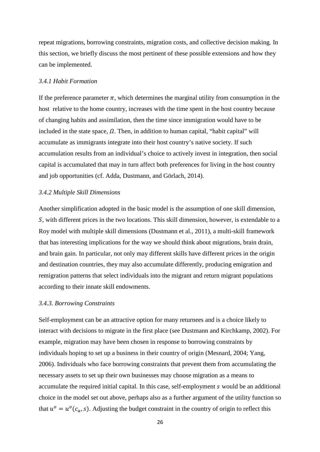repeat migrations, borrowing constraints, migration costs, and collective decision making. In this section, we briefly discuss the most pertinent of these possible extensions and how they can be implemented.

#### *3.4.1 Habit Formation*

If the preference parameter  $\pi$ , which determines the marginal utility from consumption in the host relative to the home country, increases with the time spent in the host country because of changing habits and assimilation, then the time since immigration would have to be included in the state space,  $\Omega$ . Then, in addition to human capital, "habit capital" will accumulate as immigrants integrate into their host country's native society. If such accumulation results from an individual's choice to actively invest in integration, then social capital is accumulated that may in turn affect both preferences for living in the host country and job opportunities (cf. Adda, Dustmann, and Görlach, 2014).

#### *3.4.2 Multiple Skill Dimensions*

Another simplification adopted in the basic model is the assumption of one skill dimension, S, with different prices in the two locations. This skill dimension, however, is extendable to a Roy model with multiple skill dimensions (Dustmann et al., 2011), a multi-skill framework that has interesting implications for the way we should think about migrations, brain drain, and brain gain. In particular, not only may different skills have different prices in the origin and destination countries, they may also accumulate differently, producing emigration and remigration patterns that select individuals into the migrant and return migrant populations according to their innate skill endowments.

#### *3.4.3. Borrowing Constraints*

Self-employment can be an attractive option for many returnees and is a choice likely to interact with decisions to migrate in the first place (see Dustmann and Kirchkamp, 2002). For example, migration may have been chosen in response to borrowing constraints by individuals hoping to set up a business in their country of origin (Mesnard, 2004; Yang, 2006). Individuals who face borrowing constraints that prevent them from accumulating the necessary assets to set up their own businesses may choose migration as a means to accumulate the required initial capital. In this case, self-employment s would be an additional choice in the model set out above, perhaps also as a further argument of the utility function so that  $u^{\circ} = u^{\circ}(c_{a}, s)$ . Adjusting the budget constraint in the country of origin to reflect this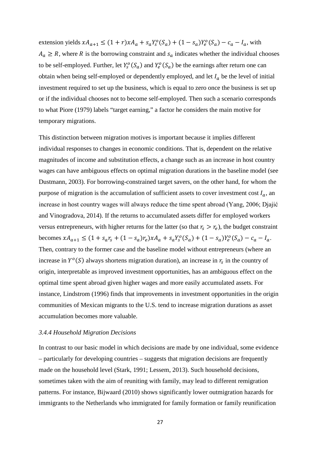extension yields  $xA_{a+1} \leq (1+r)xA_a + s_aY_s^o(S_a) + (1-s_a)Y_e^o(S_a) - c_a - I_a$ , with  $A_a \ge R$ , where R is the borrowing constraint and  $s_a$  indicates whether the individual chooses to be self-employed. Further, let  $Y_s^o(S_a)$  and  $Y_e^o(S_a)$  be the earnings after return one can obtain when being self-employed or dependently employed, and let  $I_a$  be the level of initial investment required to set up the business, which is equal to zero once the business is set up or if the individual chooses not to become self-employed. Then such a scenario corresponds to what Piore (1979) labels "target earning," a factor he considers the main motive for temporary migrations.

This distinction between migration motives is important because it implies different individual responses to changes in economic conditions. That is, dependent on the relative magnitudes of income and substitution effects, a change such as an increase in host country wages can have ambiguous effects on optimal migration durations in the baseline model (see Dustmann, 2003). For borrowing-constrained target savers, on the other hand, for whom the purpose of migration is the accumulation of sufficient assets to cover investment cost  $I_a$ , an increase in host country wages will always reduce the time spent abroad (Yang, 2006; Djajić and Vinogradova, 2014). If the returns to accumulated assets differ for employed workers versus entrepreneurs, with higher returns for the latter (so that  $r_s > r_e$ ), the budget constraint becomes  $xA_{a+1} \leq (1 + s_a r_s + (1 - s_a)r_e)xA_a + s_a Y_s^o(S_a) + (1 - s_a)Y_e^o(S_a) - c_a - I_a$ . Then, contrary to the former case and the baseline model without entrepreneurs (where an increase in  $Y^{\circ}(S)$  always shortens migration duration), an increase in  $r_s$  in the country of origin, interpretable as improved investment opportunities, has an ambiguous effect on the optimal time spent abroad given higher wages and more easily accumulated assets. For instance, Lindstrom (1996) finds that improvements in investment opportunities in the origin communities of Mexican migrants to the U.S. tend to increase migration durations as asset accumulation becomes more valuable.

#### *3.4.4 Household Migration Decisions*

In contrast to our basic model in which decisions are made by one individual, some evidence – particularly for developing countries – suggests that migration decisions are frequently made on the household level (Stark, 1991; Lessem, 2013). Such household decisions, sometimes taken with the aim of reuniting with family, may lead to different remigration patterns. For instance, Bijwaard (2010) shows significantly lower outmigration hazards for immigrants to the Netherlands who immigrated for family formation or family reunification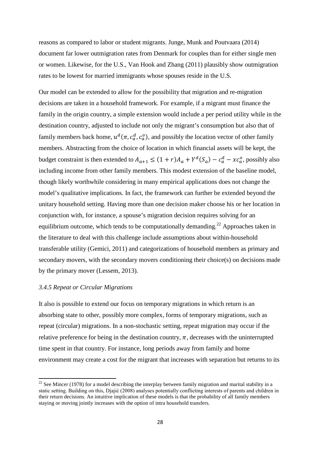reasons as compared to labor or student migrants. Junge, Munk and Poutvaara (2014) document far lower outmigration rates from Denmark for couples than for either single men or women. Likewise, for the U.S., Van Hook and Zhang (2011) plausibly show outmigration rates to be lowest for married immigrants whose spouses reside in the U.S.

Our model can be extended to allow for the possibility that migration and re-migration decisions are taken in a household framework. For example, if a migrant must finance the family in the origin country, a simple extension would include a per period utility while in the destination country, adjusted to include not only the migrant's consumption but also that of family members back home,  $u^d(\pi, c_a^d, c_a^o)$ , and possibly the location vector of other family members. Abstracting from the choice of location in which financial assets will be kept, the budget constraint is then extended to  $A_{a+1} \leq (1+r)A_a + Y^d(S_a) - c_a^d - xc_a^o$ , possibly also including income from other family members. This modest extension of the baseline model, though likely worthwhile considering in many empirical applications does not change the model's qualitative implications. In fact, the framework can further be extended beyond the unitary household setting. Having more than one decision maker choose his or her location in conjunction with, for instance, a spouse's migration decision requires solving for an equilibrium outcome, which tends to be computationally demanding.<sup>22</sup> Approaches taken in the literature to deal with this challenge include assumptions about within-household transferable utility (Gemici, 2011) and categorizations of household members as primary and secondary movers, with the secondary movers conditioning their choice(s) on decisions made by the primary mover (Lessem, 2013).

#### *3.4.5 Repeat or Circular Migrations*

It also is possible to extend our focus on temporary migrations in which return is an absorbing state to other, possibly more complex, forms of temporary migrations, such as repeat (circular) migrations. In a non-stochastic setting, repeat migration may occur if the relative preference for being in the destination country,  $\pi$ , decreases with the uninterrupted time spent in that country. For instance, long periods away from family and home environment may create a cost for the migrant that increases with separation but returns to its

 $22$  See Mincer (1978) for a model describing the interplay between family migration and marital stability in a static setting. Building on this, Djajić (2008) analyses potentially conflicting interests of parents and children in their return decisions. An intuitive implication of these models is that the probability of all family members staying or moving jointly increases with the option of intra household transfers.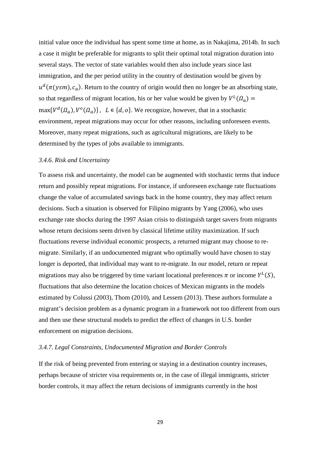initial value once the individual has spent some time at home, as in Nakajima, 2014b. In such a case it might be preferable for migrants to split their optimal total migration duration into several stays. The vector of state variables would then also include years since last immigration, and the per period utility in the country of destination would be given by  $u^d(\pi(ysm), c_a)$ . Return to the country of origin would then no longer be an absorbing state, so that regardless of migrant location, his or her value would be given by  $V^L(\Omega_a)$  =  $\max\{V^d(\Omega_a), V^o(\Omega_a)\}\$ ,  $L \in \{d, o\}$ . We recognize, however, that in a stochastic environment, repeat migrations may occur for other reasons, including unforeseen events. Moreover, many repeat migrations, such as agricultural migrations, are likely to be determined by the types of jobs available to immigrants.

#### *3.4.6. Risk and Uncertainty*

To assess risk and uncertainty, the model can be augmented with stochastic terms that induce return and possibly repeat migrations. For instance, if unforeseen exchange rate fluctuations change the value of accumulated savings back in the home country, they may affect return decisions. Such a situation is observed for Filipino migrants by Yang (2006), who uses exchange rate shocks during the 1997 Asian crisis to distinguish target savers from migrants whose return decisions seem driven by classical lifetime utility maximization. If such fluctuations reverse individual economic prospects, a returned migrant may choose to remigrate. Similarly, if an undocumented migrant who optimally would have chosen to stay longer is deported, that individual may want to re-migrate. In our model, return or repeat migrations may also be triggered by time variant locational preferences  $\pi$  or income  $Y^L(S)$ , fluctuations that also determine the location choices of Mexican migrants in the models estimated by Colussi (2003), Thom (2010), and Lessem (2013). These authors formulate a migrant's decision problem as a dynamic program in a framework not too different from ours and then use these structural models to predict the effect of changes in U.S. border enforcement on migration decisions.

#### *3.4.7. Legal Constraints, Undocumented Migration and Border Controls*

If the risk of being prevented from entering or staying in a destination country increases, perhaps because of stricter visa requirements or, in the case of illegal immigrants, stricter border controls, it may affect the return decisions of immigrants currently in the host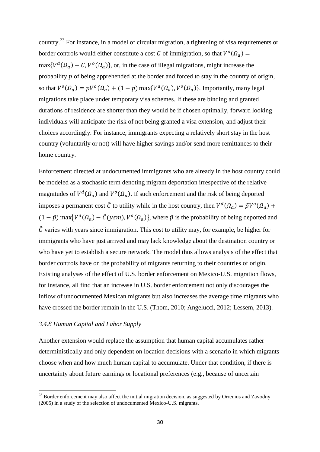country.<sup>23</sup> For instance, in a model of circular migration, a tightening of visa requirements or border controls would either constitute a cost C of immigration, so that  $V^o(\Omega_a)$  =  $\max\{V^d(\Omega_a) - C, V^o(\Omega_a)\}\$ , or, in the case of illegal migrations, might increase the probability  $p$  of being apprehended at the border and forced to stay in the country of origin, so that  $V^o(\Omega_a) = pV^o(\Omega_a) + (1-p) \max\{V^d(\Omega_a), V^o(\Omega_a)\}\)$ . Importantly, many legal migrations take place under temporary visa schemes. If these are binding and granted durations of residence are shorter than they would be if chosen optimally, forward looking individuals will anticipate the risk of not being granted a visa extension, and adjust their choices accordingly. For instance, immigrants expecting a relatively short stay in the host country (voluntarily or not) will have higher savings and/or send more remittances to their home country.

Enforcement directed at undocumented immigrants who are already in the host country could be modeled as a stochastic term denoting migrant deportation irrespective of the relative magnitudes of  $V^d(\Omega_a)$  and  $V^o(\Omega_a)$ . If such enforcement and the risk of being deported imposes a permanent cost  $\tilde{C}$  to utility while in the host country, then  $V^d(\Omega_a) = \tilde{p}V^o(\Omega_a) +$  $(1 - \tilde{p})$  max $\{V^d(\Omega_a) - \tilde{C}(ysm), V^o(\Omega_a)\}\$ , where  $\tilde{p}$  is the probability of being deported and  $\tilde{C}$  varies with years since immigration. This cost to utility may, for example, be higher for immigrants who have just arrived and may lack knowledge about the destination country or who have yet to establish a secure network. The model thus allows analysis of the effect that border controls have on the probability of migrants returning to their countries of origin. Existing analyses of the effect of U.S. border enforcement on Mexico-U.S. migration flows, for instance, all find that an increase in U.S. border enforcement not only discourages the inflow of undocumented Mexican migrants but also increases the average time migrants who have crossed the border remain in the U.S. (Thom, 2010; Angelucci, 2012; Lessem, 2013).

#### *3.4.8 Human Capital and Labor Supply*

Another extension would replace the assumption that human capital accumulates rather deterministically and only dependent on location decisions with a scenario in which migrants choose when and how much human capital to accumulate. Under that condition, if there is uncertainty about future earnings or locational preferences (e.g., because of uncertain

 $^{23}$  Border enforcement may also affect the initial migration decision, as suggested by Orrenius and Zavodny (2005) in a study of the selection of undocumented Mexico-U.S. migrants.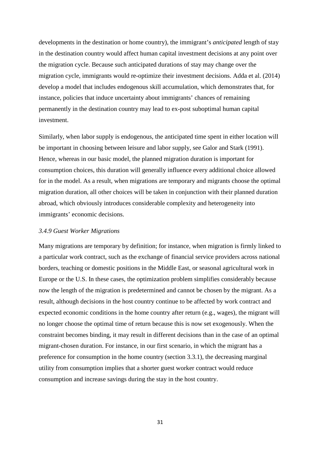developments in the destination or home country), the immigrant's *anticipated* length of stay in the destination country would affect human capital investment decisions at any point over the migration cycle. Because such anticipated durations of stay may change over the migration cycle, immigrants would re-optimize their investment decisions. Adda et al. (2014) develop a model that includes endogenous skill accumulation, which demonstrates that, for instance, policies that induce uncertainty about immigrants' chances of remaining permanently in the destination country may lead to ex-post suboptimal human capital investment.

Similarly, when labor supply is endogenous, the anticipated time spent in either location will be important in choosing between leisure and labor supply, see Galor and Stark (1991). Hence, whereas in our basic model, the planned migration duration is important for consumption choices, this duration will generally influence every additional choice allowed for in the model. As a result, when migrations are temporary and migrants choose the optimal migration duration, all other choices will be taken in conjunction with their planned duration abroad, which obviously introduces considerable complexity and heterogeneity into immigrants' economic decisions.

#### *3.4.9 Guest Worker Migrations*

Many migrations are temporary by definition; for instance, when migration is firmly linked to a particular work contract, such as the exchange of financial service providers across national borders, teaching or domestic positions in the Middle East, or seasonal agricultural work in Europe or the U.S. In these cases, the optimization problem simplifies considerably because now the length of the migration is predetermined and cannot be chosen by the migrant. As a result, although decisions in the host country continue to be affected by work contract and expected economic conditions in the home country after return (e.g., wages), the migrant will no longer choose the optimal time of return because this is now set exogenously. When the constraint becomes binding, it may result in different decisions than in the case of an optimal migrant-chosen duration. For instance, in our first scenario, in which the migrant has a preference for consumption in the home country (section 3.3.1), the decreasing marginal utility from consumption implies that a shorter guest worker contract would reduce consumption and increase savings during the stay in the host country.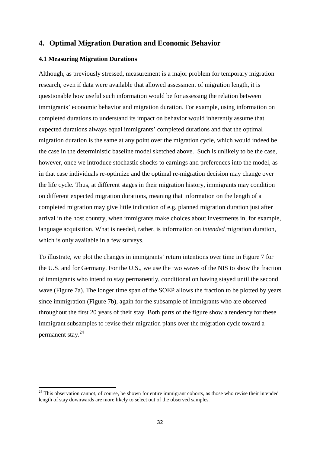#### **4. Optimal Migration Duration and Economic Behavior**

#### **4.1 Measuring Migration Durations**

Although, as previously stressed, measurement is a major problem for temporary migration research, even if data were available that allowed assessment of migration length, it is questionable how useful such information would be for assessing the relation between immigrants' economic behavior and migration duration. For example, using information on completed durations to understand its impact on behavior would inherently assume that expected durations always equal immigrants' completed durations and that the optimal migration duration is the same at any point over the migration cycle, which would indeed be the case in the deterministic baseline model sketched above. Such is unlikely to be the case, however, once we introduce stochastic shocks to earnings and preferences into the model, as in that case individuals re-optimize and the optimal re-migration decision may change over the life cycle. Thus, at different stages in their migration history, immigrants may condition on different expected migration durations, meaning that information on the length of a completed migration may give little indication of e.g. planned migration duration just after arrival in the host country, when immigrants make choices about investments in, for example, language acquisition. What is needed, rather, is information on *intended* migration duration, which is only available in a few surveys.

To illustrate, we plot the changes in immigrants' return intentions over time in Figure 7 for the U.S. and for Germany. For the U.S., we use the two waves of the NIS to show the fraction of immigrants who intend to stay permanently, conditional on having stayed until the second wave (Figure 7a). The longer time span of the SOEP allows the fraction to be plotted by years since immigration (Figure 7b), again for the subsample of immigrants who are observed throughout the first 20 years of their stay. Both parts of the figure show a tendency for these immigrant subsamples to revise their migration plans over the migration cycle toward a permanent stay.<sup>24</sup>

<sup>&</sup>lt;sup>24</sup> This observation cannot, of course, be shown for entire immigrant cohorts, as those who revise their intended length of stay downwards are more likely to select out of the observed samples.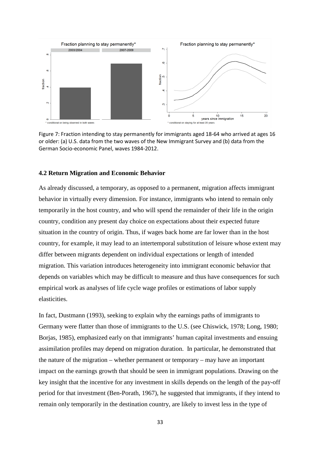![](_page_34_Figure_0.jpeg)

Figure 7: Fraction intending to stay permanently for immigrants aged 18-64 who arrived at ages 16 or older: (a) U.S. data from the two waves of the New Immigrant Survey and (b) data from the German Socio-economic Panel, waves 1984-2012.

#### **4.2 Return Migration and Economic Behavior**

As already discussed, a temporary, as opposed to a permanent, migration affects immigrant behavior in virtually every dimension. For instance, immigrants who intend to remain only temporarily in the host country, and who will spend the remainder of their life in the origin country, condition any present day choice on expectations about their expected future situation in the country of origin. Thus, if wages back home are far lower than in the host country, for example, it may lead to an intertemporal substitution of leisure whose extent may differ between migrants dependent on individual expectations or length of intended migration. This variation introduces heterogeneity into immigrant economic behavior that depends on variables which may be difficult to measure and thus have consequences for such empirical work as analyses of life cycle wage profiles or estimations of labor supply elasticities.

In fact, Dustmann (1993), seeking to explain why the earnings paths of immigrants to Germany were flatter than those of immigrants to the U.S. (see Chiswick, 1978; Long, 1980; Borjas, 1985), emphasized early on that immigrants' human capital investments and ensuing assimilation profiles may depend on migration duration. In particular, he demonstrated that the nature of the migration – whether permanent or temporary – may have an important impact on the earnings growth that should be seen in immigrant populations. Drawing on the key insight that the incentive for any investment in skills depends on the length of the pay-off period for that investment (Ben-Porath, 1967), he suggested that immigrants, if they intend to remain only temporarily in the destination country, are likely to invest less in the type of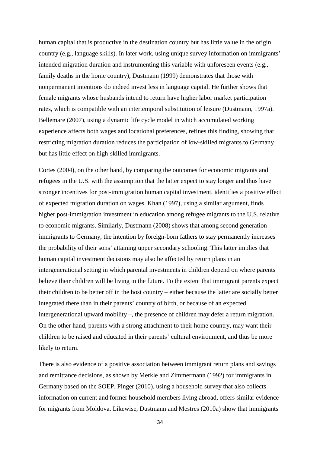human capital that is productive in the destination country but has little value in the origin country (e.g., language skills). In later work, using unique survey information on immigrants' intended migration duration and instrumenting this variable with unforeseen events (e.g., family deaths in the home country), Dustmann (1999) demonstrates that those with nonpermanent intentions do indeed invest less in language capital. He further shows that female migrants whose husbands intend to return have higher labor market participation rates, which is compatible with an intertemporal substitution of leisure (Dustmann, 1997a). Bellemare (2007), using a dynamic life cycle model in which accumulated working experience affects both wages and locational preferences, refines this finding, showing that restricting migration duration reduces the participation of low-skilled migrants to Germany but has little effect on high-skilled immigrants.

Cortes (2004), on the other hand, by comparing the outcomes for economic migrants and refugees in the U.S. with the assumption that the latter expect to stay longer and thus have stronger incentives for post-immigration human capital investment, identifies a positive effect of expected migration duration on wages. Khan (1997), using a similar argument, finds higher post-immigration investment in education among refugee migrants to the U.S. relative to economic migrants. Similarly, Dustmann (2008) shows that among second generation immigrants to Germany, the intention by foreign-born fathers to stay permanently increases the probability of their sons' attaining upper secondary schooling. This latter implies that human capital investment decisions may also be affected by return plans in an intergenerational setting in which parental investments in children depend on where parents believe their children will be living in the future. To the extent that immigrant parents expect their children to be better off in the host country – either because the latter are socially better integrated there than in their parents' country of birth, or because of an expected intergenerational upward mobility –, the presence of children may defer a return migration. On the other hand, parents with a strong attachment to their home country, may want their children to be raised and educated in their parents' cultural environment, and thus be more likely to return.

There is also evidence of a positive association between immigrant return plans and savings and remittance decisions, as shown by Merkle and Zimmermann (1992) for immigrants in Germany based on the SOEP. Pinger (2010), using a household survey that also collects information on current and former household members living abroad, offers similar evidence for migrants from Moldova. Likewise, Dustmann and Mestres (2010a) show that immigrants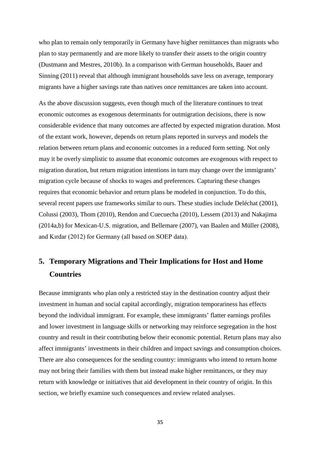who plan to remain only temporarily in Germany have higher remittances than migrants who plan to stay permanently and are more likely to transfer their assets to the origin country (Dustmann and Mestres, 2010b). In a comparison with German households, Bauer and Sinning (2011) reveal that although immigrant households save less on average, temporary migrants have a higher savings rate than natives once remittances are taken into account.

As the above discussion suggests, even though much of the literature continues to treat economic outcomes as exogenous determinants for outmigration decisions, there is now considerable evidence that many outcomes are affected by expected migration duration. Most of the extant work, however, depends on return plans reported in surveys and models the relation between return plans and economic outcomes in a reduced form setting. Not only may it be overly simplistic to assume that economic outcomes are exogenous with respect to migration duration, but return migration intentions in turn may change over the immigrants' migration cycle because of shocks to wages and preferences. Capturing these changes requires that economic behavior and return plans be modeled in conjunction. To do this, several recent papers use frameworks similar to ours. These studies include Deléchat (2001), Colussi (2003), Thom (2010), Rendon and Cuecuecha (2010), Lessem (2013) and Nakajima (2014a,b) for Mexican-U.S. migration, and Bellemare (2007), van Baalen and Müller (2008), and Kırdar (2012) for Germany (all based on SOEP data).

## **5. Temporary Migrations and Their Implications for Host and Home Countries**

Because immigrants who plan only a restricted stay in the destination country adjust their investment in human and social capital accordingly, migration temporariness has effects beyond the individual immigrant. For example, these immigrants' flatter earnings profiles and lower investment in language skills or networking may reinforce segregation in the host country and result in their contributing below their economic potential. Return plans may also affect immigrants' investments in their children and impact savings and consumption choices. There are also consequences for the sending country: immigrants who intend to return home may not bring their families with them but instead make higher remittances, or they may return with knowledge or initiatives that aid development in their country of origin. In this section, we briefly examine such consequences and review related analyses.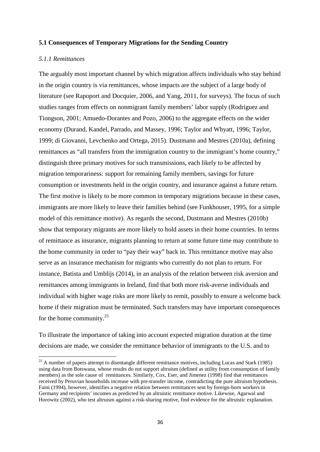#### **5.1 Consequences of Temporary Migrations for the Sending Country**

#### *5.1.1 Remittances*

The arguably most important channel by which migration affects individuals who stay behind in the origin country is via remittances, whose impacts are the subject of a large body of literature (see Rapoport and Docquier, 2006, and Yang, 2011, for surveys). The focus of such studies ranges from effects on nonmigrant family members' labor supply (Rodriguez and Tiongson, 2001; Amuedo-Dorantes and Pozo, 2006) to the aggregate effects on the wider economy (Durand, Kandel, Parrado, and Massey, 1996; Taylor and Whyatt, 1996; Taylor, 1999; di Giovanni, Levchenko and Ortega, 2015). Dustmann and Mestres (2010a), defining remittances as "all transfers from the immigration country to the immigrant's home country," distinguish three primary motives for such transmissions, each likely to be affected by migration temporariness: support for remaining family members, savings for future consumption or investments held in the origin country, and insurance against a future return. The first motive is likely to be more common in temporary migrations because in these cases, immigrants are more likely to leave their families behind (see Funkhouser, 1995, for a simple model of this remittance motive). As regards the second, Dustmann and Mestres (2010b) show that temporary migrants are more likely to hold assets in their home countries. In terms of remittance as insurance, migrants planning to return at some future time may contribute to the home community in order to "pay their way" back in. This remittance motive may also serve as an insurance mechanism for migrants who currently do not plan to return. For instance, Batista and Umblijs (2014), in an analysis of the relation between risk aversion and remittances among immigrants in Ireland, find that both more risk-averse individuals and individual with higher wage risks are more likely to remit, possibly to ensure a welcome back home if their migration must be terminated. Such transfers may have important consequences for the home community. $25$ 

To illustrate the importance of taking into account expected migration duration at the time decisions are made, we consider the remittance behavior of immigrants to the U.S. and to

<sup>&</sup>lt;sup>25</sup> A number of papers attempt to disentangle different remittance motives, including Lucas and Stark (1985) using data from Botswana, whose results do not support altruism (defined as utility from consumption of family members) as the sole cause of remittances. Similarly, Cox, Eser, and Jimenez (1998) find that remittances received by Peruvian households increase with pre-transfer income, contradicting the pure altruism hypothesis. Faini (1994), however, identifies a negative relation between remittances sent by foreign-born workers in Germany and recipients' incomes as predicted by an altruistic remittance motive. Likewise, Agarwal and Horowitz (2002), who test altruism against a risk-sharing motive, find evidence for the altruistic explanation.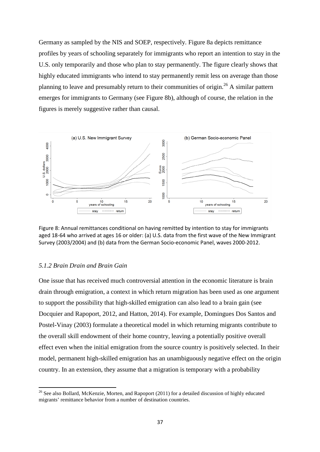Germany as sampled by the NIS and SOEP, respectively. Figure 8a depicts remittance profiles by years of schooling separately for immigrants who report an intention to stay in the U.S. only temporarily and those who plan to stay permanently. The figure clearly shows that highly educated immigrants who intend to stay permanently remit less on average than those planning to leave and presumably return to their communities of origin.<sup>26</sup> A similar pattern emerges for immigrants to Germany (see Figure 8b), although of course, the relation in the figures is merely suggestive rather than causal.

![](_page_38_Figure_1.jpeg)

Figure 8: Annual remittances conditional on having remitted by intention to stay for immigrants aged 18-64 who arrived at ages 16 or older: (a) U.S. data from the first wave of the New Immigrant Survey (2003/2004) and (b) data from the German Socio-economic Panel, waves 2000-2012.

#### *5.1.2 Brain Drain and Brain Gain*

One issue that has received much controversial attention in the economic literature is brain drain through emigration, a context in which return migration has been used as one argument to support the possibility that high-skilled emigration can also lead to a brain gain (see Docquier and Rapoport, 2012, and Hatton, 2014). For example, Domingues Dos Santos and Postel-Vinay (2003) formulate a theoretical model in which returning migrants contribute to the overall skill endowment of their home country, leaving a potentially positive overall effect even when the initial emigration from the source country is positively selected. In their model, permanent high-skilled emigration has an unambiguously negative effect on the origin country. In an extension, they assume that a migration is temporary with a probability

 $26$  See also Bollard, McKenzie, Morten, and Rapoport (2011) for a detailed discussion of highly educated migrants' remittance behavior from a number of destination countries.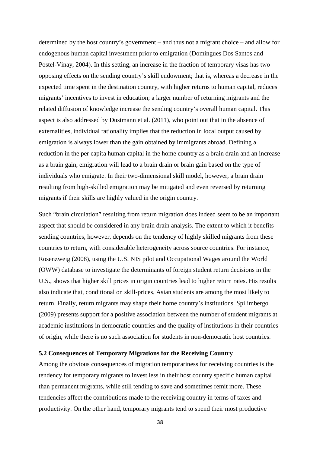determined by the host country's government – and thus not a migrant choice – and allow for endogenous human capital investment prior to emigration (Domingues Dos Santos and Postel-Vinay, 2004). In this setting, an increase in the fraction of temporary visas has two opposing effects on the sending country's skill endowment; that is, whereas a decrease in the expected time spent in the destination country, with higher returns to human capital, reduces migrants' incentives to invest in education; a larger number of returning migrants and the related diffusion of knowledge increase the sending country's overall human capital. This aspect is also addressed by Dustmann et al. (2011), who point out that in the absence of externalities, individual rationality implies that the reduction in local output caused by emigration is always lower than the gain obtained by immigrants abroad. Defining a reduction in the per capita human capital in the home country as a brain drain and an increase as a brain gain, emigration will lead to a brain drain or brain gain based on the type of individuals who emigrate. In their two-dimensional skill model, however, a brain drain resulting from high-skilled emigration may be mitigated and even reversed by returning migrants if their skills are highly valued in the origin country.

Such "brain circulation" resulting from return migration does indeed seem to be an important aspect that should be considered in any brain drain analysis. The extent to which it benefits sending countries, however, depends on the tendency of highly skilled migrants from these countries to return, with considerable heterogeneity across source countries. For instance, Rosenzweig (2008), using the U.S. NIS pilot and Occupational Wages around the World (OWW) database to investigate the determinants of foreign student return decisions in the U.S., shows that higher skill prices in origin countries lead to higher return rates. His results also indicate that, conditional on skill-prices, Asian students are among the most likely to return. Finally, return migrants may shape their home country's institutions. Spilimbergo (2009) presents support for a positive association between the number of student migrants at academic institutions in democratic countries and the quality of institutions in their countries of origin, while there is no such association for students in non-democratic host countries.

#### **5.2 Consequences of Temporary Migrations for the Receiving Country**

Among the obvious consequences of migration temporariness for receiving countries is the tendency for temporary migrants to invest less in their host country specific human capital than permanent migrants, while still tending to save and sometimes remit more. These tendencies affect the contributions made to the receiving country in terms of taxes and productivity. On the other hand, temporary migrants tend to spend their most productive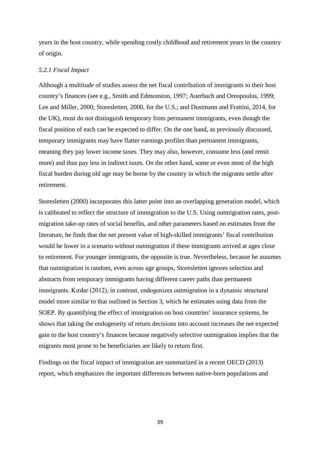years in the host country, while spending costly childhood and retirement years in the country of origin.

#### *5.2.1 Fiscal Impact*

Although a multitude of studies assess the net fiscal contribution of immigrants to their host country's finances (see e.g., Smith and Edmonston, 1997; Auerbach and Oreopoulos, 1999; Lee and Miller, 2000; Storesletten, 2000, for the U.S.; and Dustmann and Frattini, 2014, for the UK), most do not distinguish temporary from permanent immigrants, even though the fiscal position of each can be expected to differ. On the one hand, as previously discussed, temporary immigrants may have flatter earnings profiles than permanent immigrants, meaning they pay lower income taxes. They may also, however, consume less (and remit more) and thus pay less in indirect taxes. On the other hand, some or even most of the high fiscal burden during old age may be borne by the country in which the migrants settle after retirement.

Storesletten (2000) incorporates this latter point into an overlapping generation model, which is calibrated to reflect the structure of immigration to the U.S. Using outmigration rates, postmigration take-up rates of social benefits, and other parameters based on estimates from the literature, he finds that the net present value of high-skilled immigrants' fiscal contribution would be lower in a scenario without outmigration if these immigrants arrived at ages close to retirement. For younger immigrants, the opposite is true. Nevertheless, because he assumes that outmigration is random, even across age groups, Storesletten ignores selection and abstracts from temporary immigrants having different career paths than permanent immigrants. Kırdar (2012), in contrast, endogenizes outmigration in a dynamic structural model more similar to that outlined in Section 3, which he estimates using data from the SOEP. By quantifying the effect of immigration on host countries' insurance systems, he shows that taking the endogeneity of return decisions into account increases the net expected gain to the host country's finances because negatively selective outmigration implies that the migrants most prone to be beneficiaries are likely to return first.

Findings on the fiscal impact of immigration are summarized in a recent OECD (2013) report, which emphasizes the important differences between native-born populations and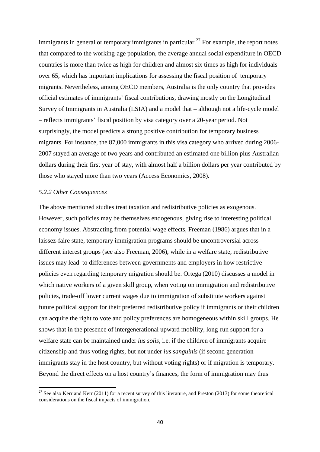immigrants in general or temporary immigrants in particular.<sup>27</sup> For example, the report notes that compared to the working-age population, the average annual social expenditure in OECD countries is more than twice as high for children and almost six times as high for individuals over 65, which has important implications for assessing the fiscal position of temporary migrants. Nevertheless, among OECD members, Australia is the only country that provides official estimates of immigrants' fiscal contributions, drawing mostly on the Longitudinal Survey of Immigrants in Australia (LSIA) and a model that – although not a life-cycle model – reflects immigrants' fiscal position by visa category over a 20-year period. Not surprisingly, the model predicts a strong positive contribution for temporary business migrants. For instance, the 87,000 immigrants in this visa category who arrived during 2006- 2007 stayed an average of two years and contributed an estimated one billion plus Australian dollars during their first year of stay, with almost half a billion dollars per year contributed by those who stayed more than two years (Access Economics, 2008).

#### *5.2.2 Other Consequences*

The above mentioned studies treat taxation and redistributive policies as exogenous. However, such policies may be themselves endogenous, giving rise to interesting political economy issues. Abstracting from potential wage effects, Freeman (1986) argues that in a laissez-faire state, temporary immigration programs should be uncontroversial across different interest groups (see also Freeman, 2006), while in a welfare state, redistributive issues may lead to differences between governments and employers in how restrictive policies even regarding temporary migration should be. Ortega (2010) discusses a model in which native workers of a given skill group, when voting on immigration and redistributive policies, trade-off lower current wages due to immigration of substitute workers against future political support for their preferred redistributive policy if immigrants or their children can acquire the right to vote and policy preferences are homogeneous within skill groups. He shows that in the presence of intergenerational upward mobility, long-run support for a welfare state can be maintained under *ius solis*, i.e. if the children of immigrants acquire citizenship and thus voting rights, but not under *ius sanguinis* (if second generation immigrants stay in the host country, but without voting rights) or if migration is temporary. Beyond the direct effects on a host country's finances, the form of immigration may thus

<sup>&</sup>lt;sup>27</sup> See also Kerr and Kerr (2011) for a recent survey of this literature, and Preston (2013) for some theoretical considerations on the fiscal impacts of immigration.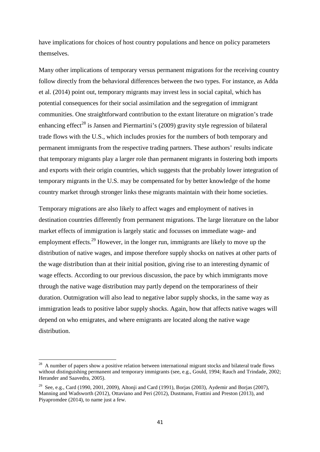have implications for choices of host country populations and hence on policy parameters themselves.

Many other implications of temporary versus permanent migrations for the receiving country follow directly from the behavioral differences between the two types. For instance, as Adda et al. (2014) point out, temporary migrants may invest less in social capital, which has potential consequences for their social assimilation and the segregation of immigrant communities. One straightforward contribution to the extant literature on migration's trade enhancing effect<sup>28</sup> is Jansen and Piermartini's (2009) gravity style regression of bilateral trade flows with the U.S., which includes proxies for the numbers of both temporary and permanent immigrants from the respective trading partners. These authors' results indicate that temporary migrants play a larger role than permanent migrants in fostering both imports and exports with their origin countries, which suggests that the probably lower integration of temporary migrants in the U.S. may be compensated for by better knowledge of the home country market through stronger links these migrants maintain with their home societies.

Temporary migrations are also likely to affect wages and employment of natives in destination countries differently from permanent migrations. The large literature on the labor market effects of immigration is largely static and focusses on immediate wage- and employment effects.<sup>29</sup> However, in the longer run, immigrants are likely to move up the distribution of native wages, and impose therefore supply shocks on natives at other parts of the wage distribution than at their initial position, giving rise to an interesting dynamic of wage effects. According to our previous discussion, the pace by which immigrants move through the native wage distribution may partly depend on the temporariness of their duration. Outmigration will also lead to negative labor supply shocks, in the same way as immigration leads to positive labor supply shocks. Again, how that affects native wages will depend on who emigrates, and where emigrants are located along the native wage distribution.

<sup>&</sup>lt;sup>28</sup> A number of papers show a positive relation between international migrant stocks and bilateral trade flows without distinguishing permanent and temporary immigrants (see, e.g., Gould, 1994; Rauch and Trindade, 2002; Herander and Saavedra, 2005).

<sup>&</sup>lt;sup>29</sup> See, e.g., Card (1990, 2001, 2009), Altonji and Card (1991), Borjas (2003), Aydemir and Borjas (2007), Manning and Wadsworth (2012), Ottaviano and Peri (2012), Dustmann, Frattini and Preston (2013), and Piyapromdee (2014), to name just a few.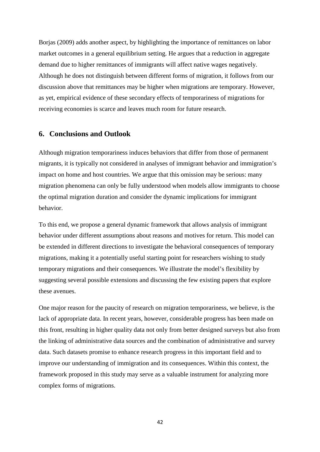Borjas (2009) adds another aspect, by highlighting the importance of remittances on labor market outcomes in a general equilibrium setting. He argues that a reduction in aggregate demand due to higher remittances of immigrants will affect native wages negatively. Although he does not distinguish between different forms of migration, it follows from our discussion above that remittances may be higher when migrations are temporary. However, as yet, empirical evidence of these secondary effects of temporariness of migrations for receiving economies is scarce and leaves much room for future research.

#### **6. Conclusions and Outlook**

Although migration temporariness induces behaviors that differ from those of permanent migrants, it is typically not considered in analyses of immigrant behavior and immigration's impact on home and host countries. We argue that this omission may be serious: many migration phenomena can only be fully understood when models allow immigrants to choose the optimal migration duration and consider the dynamic implications for immigrant behavior.

To this end, we propose a general dynamic framework that allows analysis of immigrant behavior under different assumptions about reasons and motives for return. This model can be extended in different directions to investigate the behavioral consequences of temporary migrations, making it a potentially useful starting point for researchers wishing to study temporary migrations and their consequences. We illustrate the model's flexibility by suggesting several possible extensions and discussing the few existing papers that explore these avenues.

One major reason for the paucity of research on migration temporariness, we believe, is the lack of appropriate data. In recent years, however, considerable progress has been made on this front, resulting in higher quality data not only from better designed surveys but also from the linking of administrative data sources and the combination of administrative and survey data. Such datasets promise to enhance research progress in this important field and to improve our understanding of immigration and its consequences. Within this context, the framework proposed in this study may serve as a valuable instrument for analyzing more complex forms of migrations.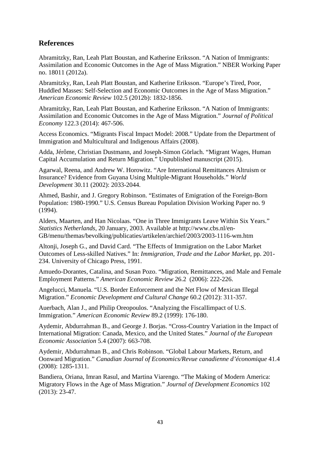#### **References**

Abramitzky, Ran, Leah Platt Boustan, and Katherine Eriksson. "A Nation of Immigrants: Assimilation and Economic Outcomes in the Age of Mass Migration." NBER Working Paper no. 18011 (2012a).

Abramitzky, Ran, Leah Platt Boustan, and Katherine Eriksson. "Europe's Tired, Poor, Huddled Masses: Self-Selection and Economic Outcomes in the Age of Mass Migration." *American Economic Review* 102.5 (2012b): 1832-1856.

Abramitzky, Ran, Leah Platt Boustan, and Katherine Eriksson. "A Nation of Immigrants: Assimilation and Economic Outcomes in the Age of Mass Migration." *Journal of Political Economy* 122.3 (2014): 467-506.

Access Economics. "Migrants Fiscal Impact Model: 2008." Update from the Department of Immigration and Multicultural and Indigenous Affairs (2008).

Adda, Jérôme, Christian Dustmann, and Joseph-Simon Görlach. "Migrant Wages, Human Capital Accumulation and Return Migration." Unpublished manuscript (2015).

Agarwal, Reena, and Andrew W. Horowitz. "Are International Remittances Altruism or Insurance? Evidence from Guyana Using Multiple-Migrant Households." *World Development* 30.11 (2002): 2033-2044.

Ahmed, Bashir, and J. Gregory Robinson. "Estimates of Emigration of the Foreign-Born Population: 1980-1990." U.S. Census Bureau Population Division Working Paper no. 9 (1994).

Alders, Maarten, and Han Nicolaas. "One in Three Immigrants Leave Within Six Years." *Statistics Netherlands*, 20 January, 2003. Available at http://www.cbs.nl/en-GB/menu/themas/bevolking/publicaties/artikelen/archief/2003/2003-1116-wm.htm

Altonji, Joseph G., and David Card. "The Effects of Immigration on the Labor Market Outcomes of Less-skilled Natives." In: *Immigration, Trade and the Labor Market*, pp. 201- 234. University of Chicago Press, 1991.

Amuedo-Dorantes, Catalina, and Susan Pozo. "Migration, Remittances, and Male and Female Employment Patterns." *American Economic Review* 26.2 (2006): 222-226.

Angelucci, Manuela. "U.S. Border Enforcement and the Net Flow of Mexican Illegal Migration." *Economic Development and Cultural Change* 60.2 (2012): 311-357.

Auerbach, Alan J., and Philip Oreopoulos. "Analyzing the FiscalIimpact of U.S. Immigration." *American Economic Review* 89.2 (1999): 176-180.

Aydemir, Abdurrahman B., and George J. Borjas. "Cross‐Country Variation in the Impact of International Migration: Canada, Mexico, and the United States." *Journal of the European Economic Association* 5.4 (2007): 663-708.

Aydemir, Abdurrahman B., and Chris Robinson. "Global Labour Markets, Return, and Oonward Migration." *Canadian Journal of Economics/Revue canadienne d'économique* 41.4 (2008): 1285-1311.

Bandiera, Oriana, Imran Rasul, and Martina Viarengo. "The Making of Modern America: Migratory Flows in the Age of Mass Migration." *Journal of Development Economics* 102 (2013): 23-47.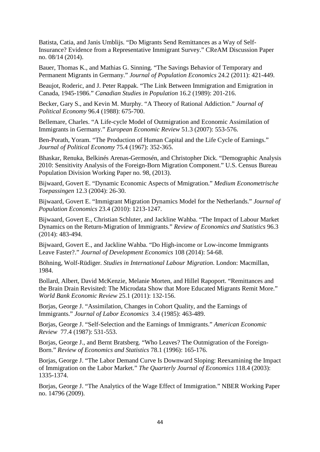Batista, Catia, and Janis Umblijs. "Do Migrants Send Remittances as a Way of Self-Insurance? Evidence from a Representative Immigrant Survey." CReAM Discussion Paper no. 08/14 (2014).

Bauer, Thomas K., and Mathias G. Sinning. "The Savings Behavior of Temporary and Permanent Migrants in Germany." *Journal of Population Economics* 24.2 (2011): 421-449.

Beaujot, Roderic, and J. Peter Rappak. "The Link Between Immigration and Emigration in Canada, 1945-1986." *Canadian Studies in Population* 16.2 (1989): 201-216.

Becker, Gary S., and Kevin M. Murphy. "A Theory of Rational Addiction." *Journal of Political Economy* 96.4 (1988): 675-700.

Bellemare, Charles. "A Life-cycle Model of Outmigration and Economic Assimilation of Immigrants in Germany." *European Economic Review* 51.3 (2007): 553-576.

Ben-Porath, Yoram. "The Production of Human Capital and the Life Cycle of Earnings." *Journal of Political Economy* 75.4 (1967): 352-365.

Bhaskar, Renuka, Belkinés Arenas-Germosén, and Christopher Dick. "Demographic Analysis 2010: Sensitivity Analysis of the Foreign-Born Migration Component." U.S. Census Bureau Population Division Working Paper no. 98, (2013).

Bijwaard, Govert E. "Dynamic Economic Aspects of Mmigration." *Medium Econometrische Toepassingen* 12.3 (2004): 26-30.

Bijwaard, Govert E. "Immigrant Migration Dynamics Model for the Netherlands." *Journal of Population Economics* 23.4 (2010): 1213-1247.

Bijwaard, Govert E., Christian Schluter, and Jackline Wahba. "The Impact of Labour Market Dynamics on the Return-Migration of Immigrants." *Review of Economics and Statistics* 96.3 (2014): 483-494.

Bijwaard, Govert E., and Jackline Wahba. "Do High-income or Low-income Immigrants Leave Faster?." *Journal of Development Economics* 108 (2014): 54-68.

Böhning, Wolf-Rüdiger. *Studies in International Labour Migration*. London: Macmillan, 1984.

Bollard, Albert, David McKenzie, Melanie Morten, and Hillel Rapoport. "Remittances and the Brain Drain Revisited: The Microdata Show that More Educated Migrants Remit More." *World Bank Economic Review* 25.1 (2011): 132-156.

Borjas, George J. "Assimilation, Changes in Cohort Quality, and the Earnings of Immigrants." *Journal of Labor Economics* 3.4 (1985): 463-489.

Borjas, George J. "Self-Selection and the Earnings of Immigrants." *American Economic Review* 77.4 (1987): 531-553.

Borjas, George J., and Bernt Bratsberg. "Who Leaves? The Outmigration of the Foreign-Born." *Review of Economics and Statistics* 78.1 (1996): 165-176.

Borjas, George J. "The Labor Demand Curve Is Downward Sloping: Reexamining the Impact of Immigration on the Labor Market." *The Quarterly Journal of Economics* 118.4 (2003): 1335-1374.

Borjas, George J. "The Analytics of the Wage Effect of Immigration." NBER Working Paper no. 14796 (2009).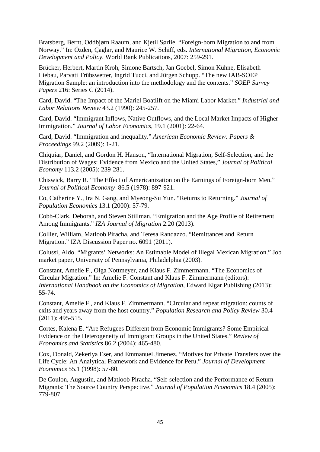Bratsberg, Bernt, Oddbjørn Raaum, and Kjetil Sørlie. "Foreign-born Migration to and from Norway." In: Özden, Çaglar, and Maurice W. Schiff, eds. *International Migration, Economic Development and Policy*. World Bank Publications, 2007: 259-291.

Brücker, Herbert, Martin Kroh, Simone Bartsch, Jan Goebel, Simon Kühne, Elisabeth Liebau, Parvati Trübswetter, Ingrid Tucci, and Jürgen Schupp. "The new IAB-SOEP Migration Sample: an introduction into the methodology and the contents." *SOEP Survey Papers* 216: Series C (2014).

Card, David. "The Impact of the Mariel Boatlift on the Miami Labor Market." *Industrial and Labor Relations Review* 43.2 (1990): 245-257.

Card, David. "Immigrant Inflows, Native Outflows, and the Local Market Impacts of Higher Immigration." *Journal of Labor Economics*, 19.1 (2001): 22-64.

Card, David. "Immigration and inequality." *American Economic Review: Papers & Proceedings* 99.2 (2009): 1-21.

Chiquiar, Daniel, and Gordon H. Hanson, "International Migration, Self-Selection, and the Distribution of Wages: Evidence from Mexico and the United States," *Journal of Political Economy* 113.2 (2005): 239-281.

Chiswick, Barry R. "The Effect of Americanization on the Earnings of Foreign-born Men." *Journal of Political Economy* 86.5 (1978): 897-921.

Co, Catherine Y., Ira N. Gang, and Myeong-Su Yun. "Returns to Returning." *Journal of Population Economics* 13.1 (2000): 57-79.

Cobb-Clark, Deborah, and Steven Stillman. "Emigration and the Age Profile of Retirement Among Immigrants." *IZA Journal of Migration* 2.20 (2013).

Collier, William, Matloob Piracha, and Teresa Randazzo. "Remittances and Return Migration." IZA Discussion Paper no. 6091 (2011).

Colussi, Aldo. "Migrants' Networks: An Estimable Model of Illegal Mexican Migration." Job market paper, University of Pennsylvania, Philadelphia (2003).

Constant, Amelie F., Olga Nottmeyer, and Klaus F. Zimmermann. "The Economics of Circular Migration." In: Amelie F. Constant and Klaus F. Zimmermann (editors): *International Handbook on the Economics of Migration*, Edward Elgar Publishing (2013): 55-74.

Constant, Amelie F., and Klaus F. Zimmermann. "Circular and repeat migration: counts of exits and years away from the host country." *Population Research and Policy Review* 30.4 (2011): 495-515.

Cortes, Kalena E. "Are Refugees Different from Economic Immigrants? Some Empirical Evidence on the Heterogeneity of Immigrant Groups in the United States." *Review of Economics and Statistics* 86.2 (2004): 465-480.

Cox, Donald, Zekeriya Eser, and Emmanuel Jimenez. "Motives for Private Transfers over the Life Cycle: An Analytical Framework and Evidence for Peru." *Journal of Development Economics* 55.1 (1998): 57-80.

De Coulon, Augustin, and Matloob Piracha. "Self-selection and the Performance of Return Migrants: The Source Country Perspective." *Journal of Population Economics* 18.4 (2005): 779-807.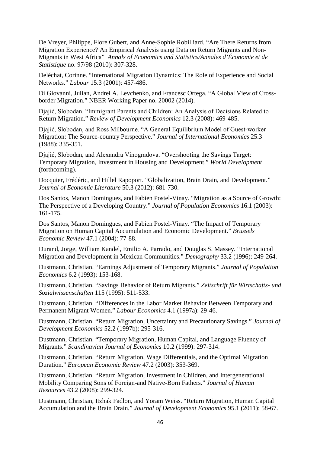De Vreyer, Philippe, Flore Gubert, and Anne-Sophie Robilliard. "Are There Returns from Migration Experience? An Empirical Analysis using Data on Return Migrants and Non-Migrants in West Africa" *Annals of Economics and Statistics/Annales d'Économie et de Statistique* no. 97/98 (2010): 307-328.

Deléchat, Corinne. "International Migration Dynamics: The Role of Experience and Social Networks." *Labour* 15.3 (2001): 457-486.

Di Giovanni, Julian, Andrei A. Levchenko, and Francesc Ortega. "A Global View of Crossborder Migration." NBER Working Paper no. 20002 (2014).

Djajić, Slobodan. "Immigrant Parents and Children: An Analysis of Decisions Related to Return Migration." *Review of Development Economics* 12.3 (2008): 469-485.

Djajić, Slobodan, and Ross Milbourne. "A General Equilibrium Model of Guest-worker Migration: The Source-country Perspective." *Journal of International Economics* 25.3 (1988): 335-351.

Djajić, Slobodan, and Alexandra Vinogradova. "Overshooting the Savings Target: Temporary Migration, Investment in Housing and Development." *World Development* (forthcoming).

Docquier, Frédéric, and Hillel Rapoport. "Globalization, Brain Drain, and Development." *Journal of Economic Literature* 50.3 (2012): 681-730.

Dos Santos, Manon Domingues, and Fabien Postel-Vinay. "Migration as a Source of Growth: The Perspective of a Developing Country." *Journal of Population Economics* 16.1 (2003): 161-175.

Dos Santos, Manon Domingues, and Fabien Postel-Vinay. "The Impact of Temporary Migration on Human Capital Accumulation and Economic Development." *Brussels Economic Review* 47.1 (2004): 77-88.

Durand, Jorge, William Kandel, Emilio A. Parrado, and Douglas S. Massey. "International Migration and Development in Mexican Communities." *Demography* 33.2 (1996): 249-264.

Dustmann, Christian. "Earnings Adjustment of Temporary Migrants." *Journal of Population Economics* 6.2 (1993): 153-168.

Dustmann, Christian. "Savings Behavior of Return Migrants." *Zeitschrift für Wirtschafts- und Sozialwissenschaften* 115 (1995): 511-533.

Dustmann, Christian. "Differences in the Labor Market Behavior Between Temporary and Permanent Migrant Women." *Labour Economics* 4.1 (1997a): 29-46.

Dustmann, Christian. "Return Migration, Uncertainty and Precautionary Savings." *Journal of Development Economics* 52.2 (1997b): 295-316.

Dustmann, Christian. "Temporary Migration, Human Capital, and Language Fluency of Migrants." *Scandinavian Journal of Economics* 10.2 (1999): 297-314.

Dustmann, Christian. "Return Migration, Wage Differentials, and the Optimal Migration Duration." *European Economic Review* 47.2 (2003): 353-369.

Dustmann, Christian. "Return Migration, Investment in Children, and Intergenerational Mobility Comparing Sons of Foreign-and Native-Born Fathers." *Journal of Human Resources* 43.2 (2008): 299-324.

Dustmann, Christian, Itzhak Fadlon, and Yoram Weiss. "Return Migration, Human Capital Accumulation and the Brain Drain." *Journal of Development Economics* 95.1 (2011): 58-67.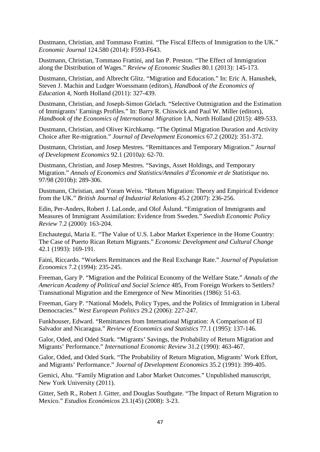Dustmann, Christian, and Tommaso Frattini. "The Fiscal Effects of Immigration to the UK." *Economic Journal* 124.580 (2014): F593-F643.

Dustmann, Christian, Tommaso Frattini, and Ian P. Preston. "The Effect of Immigration along the Distribution of Wages." *Review of Economic Studies* 80.1 (2013): 145-173.

Dustmann, Christian, and Albrecht Glitz. "Migration and Education." In: Eric A. Hanushek, Steven J. Machin and Ludger Woessmann (editors), *Handbook of the Economics of Education* 4, North Holland (2011): 327-439.

Dustmann, Christian, and Joseph-Simon Görlach. "Selective Outmigration and the Estimation of Immigrants' Earnings Profiles." In: Barry R. Chiswick and Paul W. Miller (editors), *Handbook of the Economics of International Migration* 1A, North Holland (2015): 489-533.

Dustmann, Christian, and Oliver Kirchkamp. "The Optimal Migration Duration and Activity Choice after Re-migration." *Journal of Development Economics* 67.2 (2002): 351-372.

Dustmann, Christian, and Josep Mestres. "Remittances and Temporary Migration." *Journal of Development Economics* 92.1 (2010a): 62-70.

Dustmann, Christian, and Josep Mestres. "Savings, Asset Holdings, and Temporary Migration." *Annals of Economics and Statistics/Annales d'Économie et de Statistique* no. 97/98 (2010b): 289-306.

Dustmann, Christian, and Yoram Weiss. "Return Migration: Theory and Empirical Evidence from the UK." *British Journal of Industrial Relations* 45.2 (2007): 236-256.

Edin, Per-Anders, Robert J. LaLonde, and Olof Åslund. "Emigration of Immigrants and Measures of Immigrant Assimilation: Evidence from Sweden." *Swedish Economic Policy Review* 7.2 (2000): 163-204.

Enchautegui, Maria E. "The Value of U.S. Labor Market Experience in the Home Country: The Case of Puerto Rican Return Migrants." *Economic Development and Cultural Change* 42.1 (1993): 169-191.

Faini, Riccardo. "Workers Remittances and the Real Exchange Rate." *Journal of Population Economics* 7.2 (1994): 235-245.

Freeman, Gary P. "Migration and the Political Economy of the Welfare State." *Annals of the American Academy of Political and Social Science* 485, From Foreign Workers to Settlers? Transnational Migration and the Emergence of New Minorities (1986): 51-63.

Freeman, Gary P. "National Models, Policy Types, and the Politics of Immigration in Liberal Democracies." *West European Politics* 29.2 (2006): 227-247.

Funkhouser, Edward. "Remittances from International Migration: A Comparison of El Salvador and Nicaragua." *Review of Economics and Statistics* 77.1 (1995): 137-146.

Galor, Oded, and Oded Stark. "Migrants' Savings, the Probability of Return Migration and Migrants' Performance." *International Economic Review* 31.2 (1990): 463-467.

Galor, Oded, and Oded Stark. "The Probability of Return Migration, Migrants' Work Effort, and Migrants' Performance." *Journal of Development Economics* 35.2 (1991): 399-405.

Gemici, Ahu. "Family Migration and Labor Market Outcomes." Unpublished manuscript, New York University (2011).

Gitter, Seth R., Robert J. Gitter, and Douglas Southgate. "The Impact of Return Migration to Mexico." *Estudios Económicos* 23.1(45) (2008): 3-23.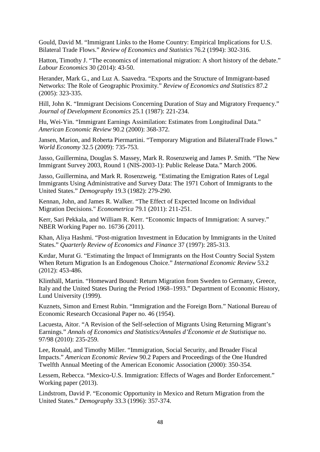Gould, David M. "Immigrant Links to the Home Country: Empirical Implications for U.S. Bilateral Trade Flows." *Review of Economics and Statistics* 76.2 (1994): 302-316.

Hatton, Timothy J. "The economics of international migration: A short history of the debate." *Labour Economics* 30 (2014): 43-50.

Herander, Mark G., and Luz A. Saavedra. "Exports and the Structure of Immigrant-based Networks: The Role of Geographic Proximity." *Review of Economics and Statistics* 87.2 (2005): 323-335.

Hill, John K. "Immigrant Decisions Concerning Duration of Stay and Migratory Frequency." *Journal of Development Economics* 25.1 (1987): 221-234.

Hu, Wei-Yin. "Immigrant Earnings Assimilation: Estimates from Longitudinal Data." *American Economic Review* 90.2 (2000): 368-372.

Jansen, Marion, and Roberta Piermartini. "Temporary Migration and BilateralTrade Flows." *World Economy* 32.5 (2009): 735-753.

Jasso, Guillermina, Douglas S. Massey, Mark R. Rosenzweig and James P. Smith. "The New Immigrant Survey 2003, Round 1 (NIS-2003-1): Public Release Data." March 2006.

Jasso, Guillermina, and Mark R. Rosenzweig. "Estimating the Emigration Rates of Legal Immigrants Using Administrative and Survey Data: The 1971 Cohort of Immigrants to the United States." *Demography* 19.3 (1982): 279-290.

Kennan, John, and James R. Walker. "The Effect of Expected Income on Individual Migration Decisions." *Econometrica* 79.1 (2011): 211-251.

Kerr, Sari Pekkala, and William R. Kerr. "Economic Impacts of Immigration: A survey." NBER Working Paper no. 16736 (2011).

Khan, Aliya Hashmi. "Post-migration Investment in Education by Immigrants in the United States." *Quarterly Review of Economics and Finance* 37 (1997): 285-313.

Kırdar, Murat G. "Estimating the Impact of Immigrants on the Host Country Social System When Return Migration Is an Endogenous Choice." *International Economic Review* 53.2 (2012): 453-486.

Klinthäll, Martin. "Homeward Bound: Return Migration from Sweden to Germany, Greece, Italy and the United States During the Period 1968–1993." Department of Economic History, Lund University (1999).

Kuznets, Simon and Ernest Rubin. "Immigration and the Foreign Born." National Bureau of Economic Research Occasional Paper no. 46 (1954).

Lacuesta, Aitor. "A Revision of the Self-selection of Migrants Using Returning Migrant's Earnings." *Annals of Economics and Statistics/Annales d'Économie et de Statistique* no. 97/98 (2010): 235-259.

Lee, Ronald, and Timothy Miller. "Immigration, Social Security, and Broader Fiscal Impacts." *American Economic Review* 90.2 Papers and Proceedings of the One Hundred Twelfth Annual Meeting of the American Economic Association (2000): 350-354.

Lessem, Rebecca. "Mexico-U.S. Immigration: Effects of Wages and Border Enforcement." Working paper (2013).

Lindstrom, David P. "Economic Opportunity in Mexico and Return Migration from the United States." *Demography* 33.3 (1996): 357-374.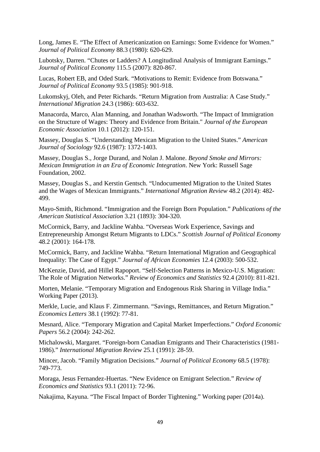Long, James E. "The Effect of Americanization on Earnings: Some Evidence for Women." *Journal of Political Economy* 88.3 (1980): 620-629.

Lubotsky, Darren. "Chutes or Ladders? A Longitudinal Analysis of Immigrant Earnings." *Journal of Political Economy* 115.5 (2007): 820-867.

Lucas, Robert EB, and Oded Stark. "Motivations to Remit: Evidence from Botswana." *Journal of Political Economy* 93.5 (1985): 901-918.

Lukomskyj, Oleh, and Peter Richards. "Return Migration from Australia: A Case Study." *International Migration* 24.3 (1986): 603-632.

Manacorda, Marco, Alan Manning, and Jonathan Wadsworth. "The Impact of Immigration on the Structure of Wages: Theory and Evidence from Britain." *Journal of the European Economic Association* 10.1 (2012): 120-151.

Massey, Douglas S. "Understanding Mexican Migration to the United States." *American Journal of Sociology* 92.6 (1987): 1372-1403.

Massey, Douglas S., Jorge Durand, and Nolan J. Malone. *Beyond Smoke and Mirrors: Mexican Immigration in an Era of Economic Integration*. New York: Russell Sage Foundation, 2002.

Massey, Douglas S., and Kerstin Gentsch. "Undocumented Migration to the United States and the Wages of Mexican Immigrants." *International Migration Review* 48.2 (2014): 482- 499.

Mayo-Smith, Richmond. "Immigration and the Foreign Born Population." *Publications of the American Statistical Association* 3.21 (1893): 304-320.

McCormick, Barry, and Jackline Wahba. "Overseas Work Experience, Savings and Entrepreneurship Amongst Return Migrants to LDCs." *Scottish Journal of Political Economy* 48.2 (2001): 164-178.

McCormick, Barry, and Jackline Wahba. "Return International Migration and Geographical Inequality: The Case of Egypt." *Journal of African Economies* 12.4 (2003): 500-532.

McKenzie, David, and Hillel Rapoport. "Self-Selection Patterns in Mexico-U.S. Migration: The Role of Migration Networks." *Review of Economics and Statistics* 92.4 (2010): 811-821.

Morten, Melanie. "Temporary Migration and Endogenous Risk Sharing in Village India." Working Paper (2013).

Merkle, Lucie, and Klaus F. Zimmermann. "Savings, Remittances, and Return Migration." *Economics Letters* 38.1 (1992): 77-81.

Mesnard, Alice. "Temporary Migration and Capital Market Imperfections." *Oxford Economic Papers* 56.2 (2004): 242-262.

Michalowski, Margaret. "Foreign-born Canadian Emigrants and Their Characteristics (1981- 1986)." *International Migration Review* 25.1 (1991): 28-59.

Mincer, Jacob. "Family Migration Decisions." *Journal of Political Economy* 68.5 (1978): 749-773.

Moraga, Jesus Fernandez-Huertas. "New Evidence on Emigrant Selection." *Review of Economics and Statistics* 93.1 (2011): 72-96.

Nakajima, Kayuna. "The Fiscal Impact of Border Tightening." Working paper (2014a).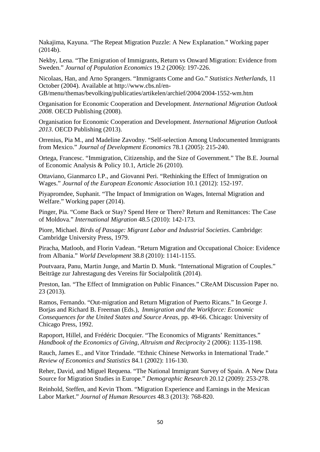Nakajima, Kayuna. "The Repeat Migration Puzzle: A New Explanation." Working paper (2014b).

Nekby, Lena. "The Emigration of Immigrants, Return vs Onward Migration: Evidence from Sweden." *Journal of Population Economics* 19.2 (2006): 197-226.

Nicolaas, Han, and Arno Sprangers. "Immigrants Come and Go." *Statistics Netherlands,* 11 October (2004). Available at http://www.cbs.nl/en-

GB/menu/themas/bevolking/publicaties/artikelen/archief/2004/2004-1552-wm.htm

Organisation for Economic Cooperation and Development. *International Migration Outlook 2008*. OECD Publishing (2008).

Organisation for Economic Cooperation and Development. *International Migration Outlook 2013*. OECD Publishing (2013).

Orrenius, Pia M., and Madeline Zavodny. "Self-selection Among Undocumented Immigrants from Mexico." *Journal of Development Economics* 78.1 (2005): 215-240.

Ortega, Francesc. "Immigration, Citizenship, and the Size of Government." The B.E. Journal of Economic Analysis & Policy 10.1, Article 26 (2010).

Ottaviano, Gianmarco I.P., and Giovanni Peri. "Rethinking the Effect of Immigration on Wages." *Journal of the European Economic Association* 10.1 (2012): 152-197.

Piyapromdee, Suphanit. "The Impact of Immigration on Wages, Internal Migration and Welfare." Working paper (2014).

Pinger, Pia. "Come Back or Stay? Spend Here or There? Return and Remittances: The Case of Moldova." *International Migration* 48.5 (2010): 142-173.

Piore, Michael. *Birds of Passage: Migrant Labor and Industrial Societies*. Cambridge: Cambridge University Press, 1979.

Piracha, Matloob, and Florin Vadean. "Return Migration and Occupational Choice: Evidence from Albania." *World Development* 38.8 (2010): 1141-1155.

Poutvaara, Panu, Martin Junge, and Martin D. Munk. "International Migration of Couples." Beiträge zur Jahrestagung des Vereins für Socialpolitik (2014).

Preston, Ian. "The Effect of Immigration on Public Finances." CReAM Discussion Paper no. 23 (2013).

Ramos, Fernando. "Out-migration and Return Migration of Puerto Ricans." In George J. Borjas and Richard B. Freeman (Eds.), *Immigration and the Workforce: Economic Consequences for the United States and Source Areas*, pp. 49-66. Chicago: University of Chicago Press, 1992.

Rapoport, Hillel, and Frédéric Docquier. "The Economics of Migrants' Remittances." *Handbook of the Economics of Giving, Altruism and Reciprocity* 2 (2006): 1135-1198.

Rauch, James E., and Vitor Trindade. "Ethnic Chinese Networks in International Trade." *Review of Economics and Statistics* 84.1 (2002): 116-130.

Reher, David, and Miguel Requena. "The National Immigrant Survey of Spain. A New Data Source for Migration Studies in Europe." *Demographic Research* 20.12 (2009): 253-278.

Reinhold, Steffen, and Kevin Thom. "Migration Experience and Earnings in the Mexican Labor Market." *Journal of Human Resources* 48.3 (2013): 768-820.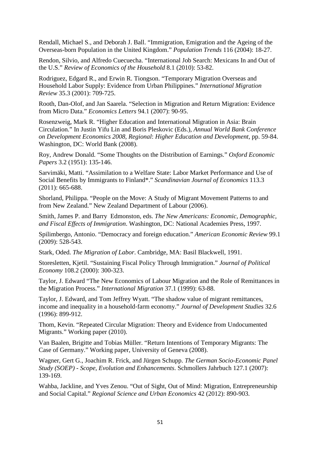Rendall, Michael S., and Deborah J. Ball. "Immigration, Emigration and the Ageing of the Overseas-born Population in the United Kingdom." *Population Trends* 116 (2004): 18-27.

Rendon, Silvio, and Alfredo Cuecuecha. "International Job Search: Mexicans In and Out of the U.S." *Review of Economics of the Household* 8.1 (2010): 53-82.

Rodriguez, Edgard R., and Erwin R. Tiongson. "Temporary Migration Overseas and Household Labor Supply: Evidence from Urban Philippines." *International Migration Review* 35.3 (2001): 709-725.

Rooth, Dan-Olof, and Jan Saarela. "Selection in Migration and Return Migration: Evidence from Micro Data." *Economics Letters* 94.1 (2007): 90-95.

Rosenzweig, Mark R. "Higher Education and International Migration in Asia: Brain Circulation." In Justin Yifu Lin and Boris Pleskovic (Eds.), *Annual World Bank Conference on Development Economics 2008, Regional*: *Higher Education and Development,* pp. 59-84. Washington, DC: World Bank (2008).

Roy, Andrew Donald. "Some Thoughts on the Distribution of Earnings." *Oxford Economic Papers* 3.2 (1951): 135-146.

Sarvimäki, Matti. "Assimilation to a Welfare State: Labor Market Performance and Use of Social Benefits by Immigrants to Finland\*." *Scandinavian Journal of Economics* 113.3 (2011): 665-688.

Shorland, Philippa. "People on the Move: A Study of Migrant Movement Patterns to and from New Zealand." New Zealand Department of Labour (2006).

Smith, James P. and Barry Edmonston, eds. *The New Americans: Economic, Demographic, and Fiscal Effects of Immigration*. Washington, DC: National Academies Press, 1997.

Spilimbergo, Antonio. "Democracy and foreign education." *American Economic Review* 99.1 (2009): 528-543.

Stark, Oded. *The Migration of Labor*. Cambridge, MA: Basil Blackwell, 1991.

Storesletten, Kjetil. "Sustaining Fiscal Policy Through Immigration." *Journal of Political Economy* 108.2 (2000): 300-323.

Taylor, J. Edward "The New Economics of Labour Migration and the Role of Remittances in the Migration Process." *International Migration* 37.1 (1999): 63-88.

Taylor, J. Edward, and Tom Jeffrey Wyatt. "The shadow value of migrant remittances, income and inequality in a household‐farm economy." *Journal of Development Studies* 32.6 (1996): 899-912.

Thom, Kevin. "Repeated Circular Migration: Theory and Evidence from Undocumented Migrants." Working paper (2010).

Van Baalen, Brigitte and Tobias Müller. "Return Intentions of Temporary Migrants: The Case of Germany." Working paper, University of Geneva (2008).

Wagner, Gert G., Joachim R. Frick, and Jürgen Schupp. *The German Socio-Economic Panel Study (SOEP) - Scope, Evolution and Enhancements*. Schmollers Jahrbuch 127.1 (2007): 139-169.

Wahba, Jackline, and Yves Zenou. "Out of Sight, Out of Mind: Migration, Entrepreneurship and Social Capital." *Regional Science and Urban Economics* 42 (2012): 890-903.